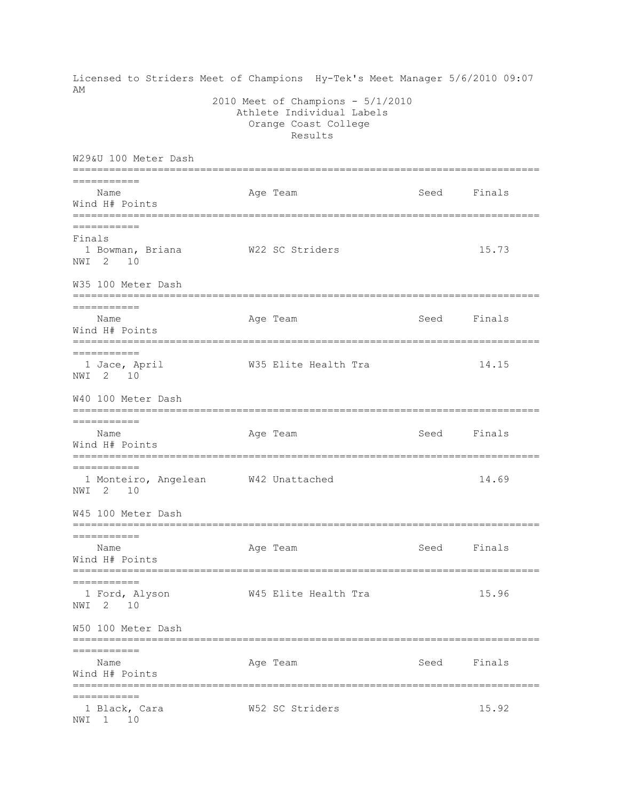Licensed to Striders Meet of Champions Hy-Tek's Meet Manager 5/6/2010 09:07 AM 2010 Meet of Champions - 5/1/2010 Athlete Individual Labels Orange Coast College Results W29&U 100 Meter Dash ============================================================================= =========== Name Age Team Seed Finals Wind H# Points ============================================================================= =========== Finals 1 Bowman, Briana W22 SC Striders 15.73 NWI 2 10 W35 100 Meter Dash ============================================================================= =========== Name **Age Team** Age Team Seed Finals Wind H# Points ============================================================================= =========== 1 Jace, April W35 Elite Health Tra 14.15 NWI 2 10 W40 100 Meter Dash ============================================================================= =========== Name Age Team Age Team Seed Finals Wind H# Points ============================================================================= =========== 1 Monteiro, Angelean W42 Unattached 14.69 NWI 2 10 W45 100 Meter Dash ============================================================================= =========== Name **Age Team** Age Team Seed Finals Wind H# Points ============================================================================= =========== 1 Ford, Alyson W45 Elite Health Tra 15.96 NWI 2 10 W50 100 Meter Dash ============================================================================= =========== Name **Age Team** Age Team Seed Finals Wind H# Points ============================================================================= =========== 1 Black, Cara W52 SC Striders 15.92 NWI 1 10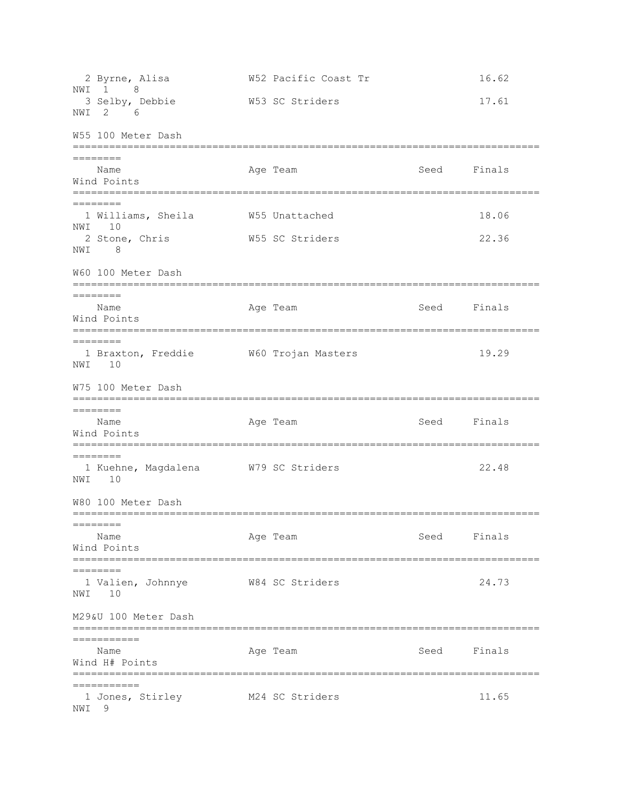2 Byrne, Alisa W52 Pacific Coast Tr 16.62 NWI 1 8 3 Selby, Debbie W53 SC Striders 17.61 NWI 2 6 W55 100 Meter Dash ============================================================================= ======== Name **Age Team** Age Team Seed Finals Wind Points ============================================================================= ======== 1 Williams, Sheila W55 Unattached 18.06 NWI 10 2 Stone, Chris **W55 SC Striders** 22.36 NWI 8 W60 100 Meter Dash ============================================================================= ======== Name **Age Team** Age Team Seed Finals Wind Points ============================================================================= ======== 1 Braxton, Freddie W60 Trojan Masters 19.29 NWI 10 W75 100 Meter Dash ============================================================================= ======== Name **Age Team** Age Team Seed Finals Wind Points ============================================================================= ======== 1 Kuehne, Magdalena W79 SC Striders 22.48 NWI 10 W80 100 Meter Dash =============================================================================  $=$ Name **Age Team** Age Team Seed Finals Wind Points ============================================================================= ======== 1 Valien, Johnnye W84 SC Striders 24.73 NWI 10 M29&U 100 Meter Dash ============================================================================= =========== Name **Age Team** Age Team Seed Finals Wind H# Points ============================================================================= =========== 1 Jones, Stirley M24 SC Striders 11.65 NWI 9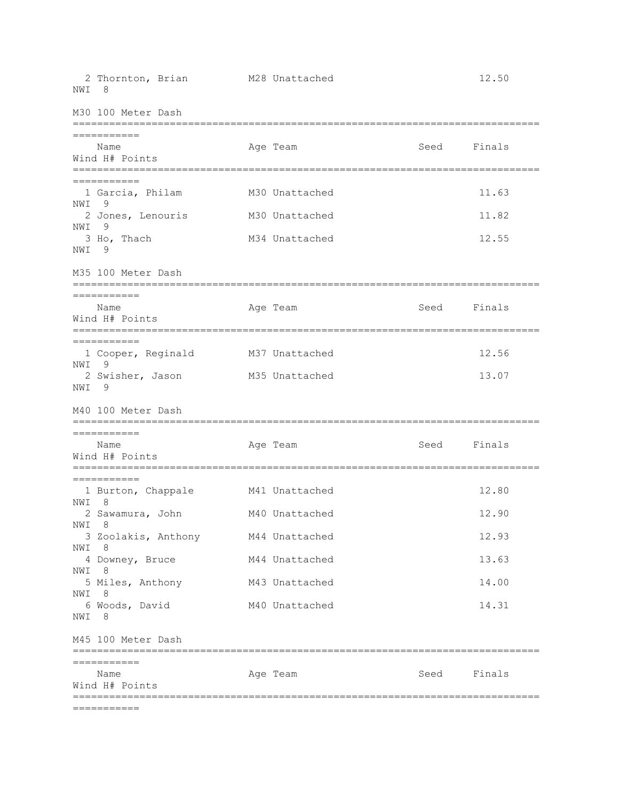|            | ===========                                                   |                |      |        |
|------------|---------------------------------------------------------------|----------------|------|--------|
|            | ===========<br>Name<br>Wind H# Points                         | Age Team       | Seed | Finals |
|            | M45 100 Meter Dash                                            |                |      |        |
| NWI        | 6 Woods, David<br>- 8                                         | M40 Unattached |      | 14.31  |
| NWI        | 5 Miles, Anthony<br>- 8                                       | M43 Unattached |      | 14.00  |
| NWI        | 4 Downey, Bruce<br>- 8                                        | M44 Unattached |      | 13.63  |
| NWI        | 3 Zoolakis, Anthony<br>8                                      | M44 Unattached |      | 12.93  |
| NWI 8      | 2 Sawamura, John                                              | M40 Unattached |      | 12.90  |
| NWI        | ===========<br>1 Burton, Chappale<br>-8                       | M41 Unattached |      | 12.80  |
|            | ===========<br>Name<br>Wind H# Points                         | Age Team       | Seed | Finals |
|            | M40 100 Meter Dash                                            |                |      |        |
| NWI        | 2 Swisher, Jason<br>-9                                        | M35 Unattached |      | 13.07  |
| NWI 9      | ===========<br>1 Cooper, Reginald                             | M37 Unattached |      | 12.56  |
|            | ===========<br>Name<br>Wind H# Points                         | Age Team       | Seed | Finals |
|            | M35 100 Meter Dash<br>:===========<br>======================= |                |      |        |
| NWI<br>NWI | 9<br>3 Ho, Thach<br>9                                         | M34 Unattached |      | 12.55  |
| NWI        | 9<br>2 Jones, Lenouris                                        | M30 Unattached |      | 11.82  |
|            | ===========<br>1 Garcia, Philam                               | M30 Unattached |      | 11.63  |
|            | Name<br>Wind H# Points<br>:===========                        | Age Team       | Seed | Finals |
|            | M30 100 Meter Dash<br>===========                             |                |      |        |
| NWI        | 8                                                             |                |      |        |
|            | 2 Thornton, Brian                                             | M28 Unattached |      | 12.50  |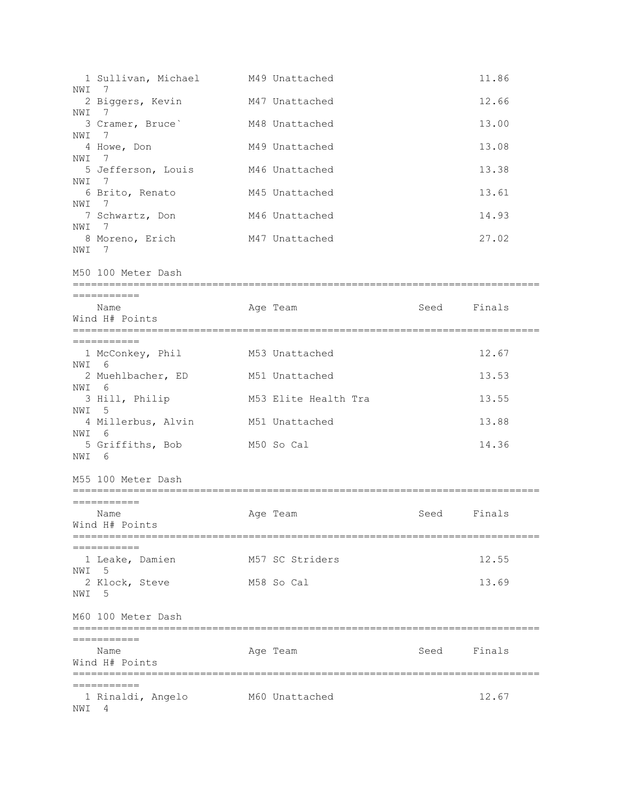| NWI   | 1 Sullivan, Michael<br>7                              | M49 Unattached                     |      | 11.86  |
|-------|-------------------------------------------------------|------------------------------------|------|--------|
|       | 2 Biggers, Kevin                                      | M47 Unattached                     |      | 12.66  |
| NWI   | - 7<br>3 Cramer, Bruce <sup>'</sup>                   | M48 Unattached                     |      | 13.00  |
| NWI   | - 7<br>4 Howe, Don                                    | M49 Unattached                     |      | 13.08  |
| NWI   | $\overline{7}$<br>5 Jefferson, Louis                  | M46 Unattached                     |      | 13.38  |
| NWI 7 |                                                       |                                    |      |        |
| NWI 7 | 6 Brito, Renato                                       | M45 Unattached                     |      | 13.61  |
| NWI 7 | 7 Schwartz, Don                                       | M46 Unattached                     |      | 14.93  |
| NWI 7 | 8 Moreno, Erich                                       | M47 Unattached                     |      | 27.02  |
|       | M50 100 Meter Dash                                    |                                    |      |        |
|       | ===========                                           |                                    |      |        |
|       | Name<br>Wind H# Points                                | Age Team                           | Seed | Finals |
|       | ===========                                           |                                    |      |        |
| NWI 6 | 1 McConkey, Phil                                      | M53 Unattached                     |      | 12.67  |
|       | 2 Muehlbacher, ED                                     | M51 Unattached                     |      | 13.53  |
| NWI 6 | 3 Hill, Philip                                        | M53 Elite Health Tra               |      | 13.55  |
| NWI 5 | 4 Millerbus, Alvin                                    | M51 Unattached                     |      | 13.88  |
| NWI 6 | 5 Griffiths, Bob                                      | M50 So Cal                         |      | 14.36  |
| NWI 6 |                                                       |                                    |      |        |
|       | M55 100 Meter Dash                                    |                                    |      |        |
|       | ===========                                           |                                    |      |        |
|       | Name<br>Wind H# Points                                | Age Team                           | Seed | Finals |
|       |                                                       |                                    |      |        |
| NWI   | 1 Leake, Damien<br>-5                                 | M57 SC Striders                    |      | 12.55  |
|       | 2 Klock, Steve                                        | M58 So Cal                         |      | 13.69  |
| NWI   | - 5                                                   |                                    |      |        |
|       | M60 100 Meter Dash<br>=============================== | ================================== |      |        |
|       | :==========<br>Name                                   | Age Team                           | Seed | Finals |
|       | Wind H# Points                                        |                                    |      |        |
|       | ===========                                           | ==========================         |      |        |
| NWI   | 1 Rinaldi, Angelo<br>4                                | M60 Unattached                     |      | 12.67  |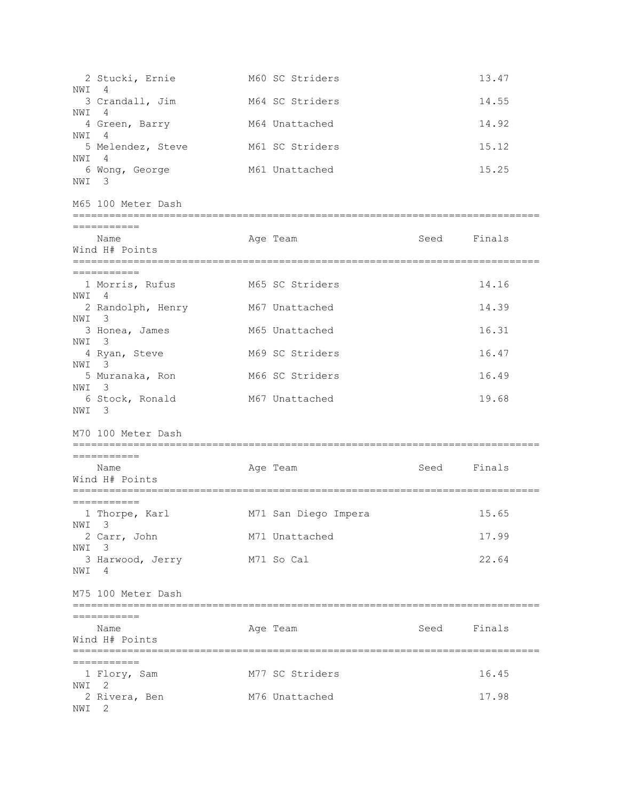| NWI   | 2 Stucki, Ernie<br>- 4         | M60 SC Striders      |             | 13.47  |
|-------|--------------------------------|----------------------|-------------|--------|
|       | 3 Crandall, Jim                | M64 SC Striders      |             | 14.55  |
| NWI   | 4<br>4 Green, Barry            | M64 Unattached       |             | 14.92  |
| NWI   | - 4<br>5 Melendez, Steve       | M61 SC Striders      |             | 15.12  |
| NWI 4 | 6 Wong, George                 | M61 Unattached       |             | 15.25  |
| NWI 3 |                                |                      |             |        |
|       | M65 100 Meter Dash             |                      |             |        |
|       | ===========                    |                      |             |        |
|       | Name<br>Wind H# Points         | Age Team             | Seed Finals |        |
|       | ===========                    |                      |             |        |
| NWI 4 | 1 Morris, Rufus                | M65 SC Striders      |             | 14.16  |
| NWI 3 | 2 Randolph, Henry              | M67 Unattached       |             | 14.39  |
| NWI 3 | 3 Honea, James                 | M65 Unattached       |             | 16.31  |
| NWI 3 | 4 Ryan, Steve                  | M69 SC Striders      |             | 16.47  |
|       | 5 Muranaka, Ron                | M66 SC Striders      |             | 16.49  |
| NWI 3 | 6 Stock, Ronald                | M67 Unattached       |             | 19.68  |
| NWI 3 |                                |                      |             |        |
|       | M70 100 Meter Dash             |                      |             |        |
|       | ===========<br>Name            | Age Team             | Seed        | Finals |
|       | Wind H# Points                 |                      |             |        |
|       | ===========                    |                      |             |        |
|       | 1 Thorpe, Karl<br>NWI 3        | M71 San Diego Impera |             | 15.65  |
| NWI   | 2 Carr, John<br>3              | M71 Unattached       |             | 17.99  |
| NWI   | 3 Harwood, Jerry<br>-4         | M71 So Cal           |             | 22.64  |
|       | M75 100 Meter Dash             |                      |             |        |
|       | ===========                    |                      |             |        |
|       | Name<br>Wind H# Points         | Age Team             | Seed Finals |        |
|       | ===========                    |                      |             |        |
| NWI   | 1 Flory, Sam<br>$\overline{2}$ | M77 SC Striders      |             | 16.45  |
| NWI   | 2 Rivera, Ben<br>2             | M76 Unattached       |             | 17.98  |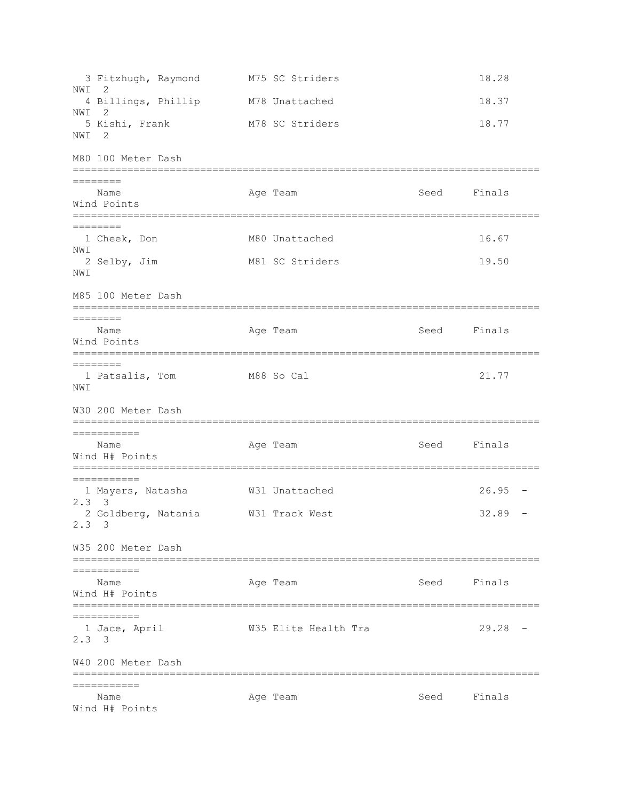3 Fitzhugh, Raymond M75 SC Striders 18.28 NWI 2 4 Billings, Phillip M78 Unattached 18.37 NWI 2 5 Kishi, Frank M78 SC Striders 18.77 NWI 2 M80 100 Meter Dash ============================================================================= ======== Name **Age Team** Age Team Seed Finals Wind Points ============================================================================= ======== 1 Cheek, Don 16.67 M80 Unattached 16.67 NWI 2 Selby, Jim M81 SC Striders 19.50 NWI M85 100 Meter Dash ============================================================================= ======== Name **Age Team** Age Team Seed Finals Wind Points ============================================================================= ======== 1 Patsalis, Tom M88 So Cal 21.77 NWI W30 200 Meter Dash ============================================================================= =========== Name **Age Team** Age Team Seed Finals Wind H# Points ============================================================================= =========== 1 Mayers, Natasha W31 Unattached 26.95 - 2.3 3 2 Goldberg, Natania  $W31$  Track West  $32.89$  -2.3 3 W35 200 Meter Dash ============================================================================= =========== Name **Age Team** Age Team Seed Finals Wind H# Points ============================================================================= =========== 1 Jace, April W35 Elite Health Tra 29.28 - 2.3 3 W40 200 Meter Dash ============================================================================= =========== Name **Age Team** Age Team Seed Finals Wind H# Points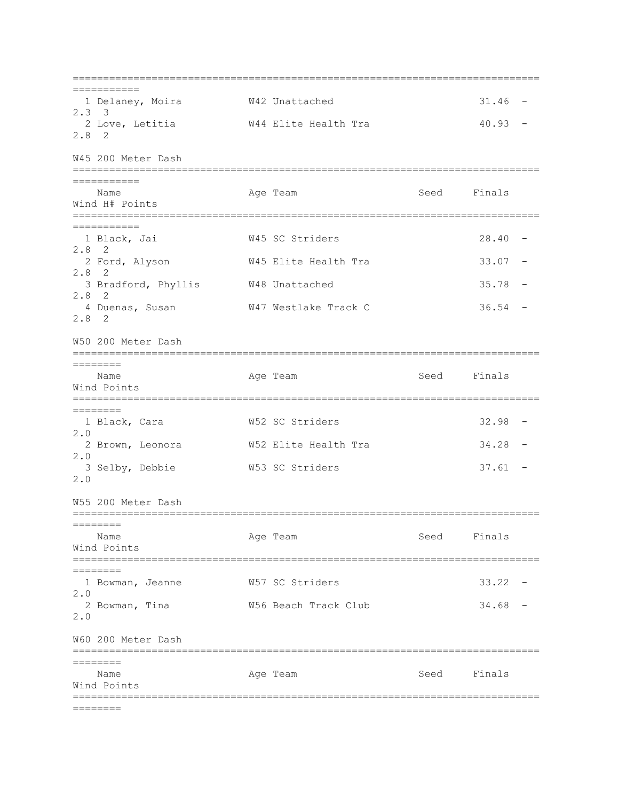============================================================================= =========== 1 Delaney, Moira W42 Unattached 31.46 - 2.3 3 2 Love, Letitia  $W44$  Elite Health Tra  $40.93$  -2.8 2 W45 200 Meter Dash ============================================================================= =========== Name **Age Team** Age Team Seed Finals Wind H# Points ============================================================================= =========== 1 Black, Jai W45 SC Striders 28.40 - 2.8 2 2 Ford, Alyson W45 Elite Health Tra 33.07 - 2.8 2 3 Bradford, Phyllis W48 Unattached 35.78 -2.8 2 4 Duenas, Susan W47 Westlake Track C 36.54 - 2.8 2 W50 200 Meter Dash ============================================================================= ======== Name **Age Team** Age Team Seed Finals Wind Points ============================================================================= ======== 1 Black, Cara W52 SC Striders 32.98 - 2.0 2 Brown, Leonora W52 Elite Health Tra 34.28 - 2.0 3 Selby, Debbie W53 SC Striders 37.61 - 2.0 W55 200 Meter Dash ============================================================================= ======== Name **Age Team** Age Team Seed Finals Wind Points ============================================================================= ======== 1 Bowman, Jeanne W57 SC Striders 33.22 - 2.0 2 Bowman, Tina W56 Beach Track Club 34.68 - 2.0 W60 200 Meter Dash ============================================================================= ======== Name **Age Team** Age Team Seed Finals Wind Points ============================================================================= ========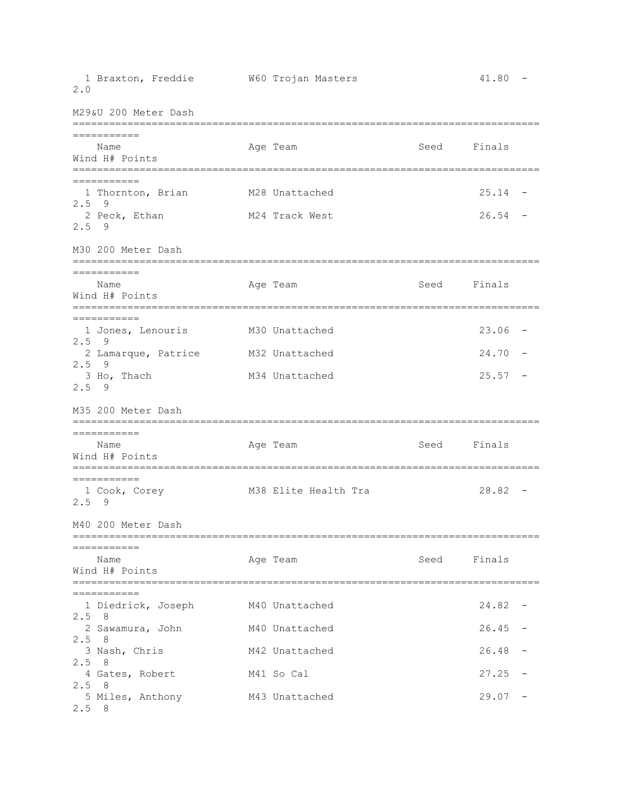| 1 Braxton, Freddie<br>2.0                                                                               | W60 Trojan Masters                                 |      | 41.80                   |                                                      |
|---------------------------------------------------------------------------------------------------------|----------------------------------------------------|------|-------------------------|------------------------------------------------------|
| M29&U 200 Meter Dash                                                                                    |                                                    |      |                         |                                                      |
| ===========<br>Name<br>Wind H# Points<br>===========                                                    | Age Team                                           | Seed | Finals                  |                                                      |
| ==========<br>1 Thornton, Brian<br>2.5<br>9<br>2 Peck, Ethan                                            | M28 Unattached<br>M24 Track West                   |      | 25.14<br>26.54          |                                                      |
| $2.5$ 9<br>M30 200 Meter Dash<br>===========                                                            |                                                    |      |                         |                                                      |
| Name<br>Wind H# Points                                                                                  | Age Team                                           |      | Seed Finals             |                                                      |
| ===========<br>1 Jones, Lenouris<br>$2.5$ 9<br>2 Lamarque, Patrice<br>$2.5$ 9<br>3 Ho, Thach<br>$2.5$ 9 | M30 Unattached<br>M32 Unattached<br>M34 Unattached |      | 23.06<br>24.70<br>25.57 |                                                      |
| M35 200 Meter Dash                                                                                      |                                                    |      |                         |                                                      |
| ===========<br>Name<br>Wind H# Points                                                                   | Age Team                                           | Seed | Finals                  |                                                      |
| ===========<br>1 Cook, Corey<br>2.5<br>-9                                                               | M38 Elite Health Tra                               |      | 28.82                   |                                                      |
| M40 200 Meter Dash                                                                                      |                                                    |      |                         |                                                      |
| Name<br>Wind H# Points                                                                                  | Age Team                                           | Seed | Finals                  |                                                      |
| ===========<br>1 Diedrick, Joseph<br>$2.5$ 8<br>2 Sawamura, John<br>2.58                                | M40 Unattached<br>M40 Unattached                   |      | 24.82<br>26.45          | $\overline{\phantom{m}}$<br>$\overline{\phantom{m}}$ |
| 3 Nash, Chris<br>2.58<br>4 Gates, Robert<br>2.5<br>- 8                                                  | M42 Unattached<br>M41 So Cal                       |      | 26.48<br>27.25          | $\overline{\phantom{m}}$                             |
| 5 Miles, Anthony<br>2.58                                                                                | M43 Unattached                                     |      | 29.07                   |                                                      |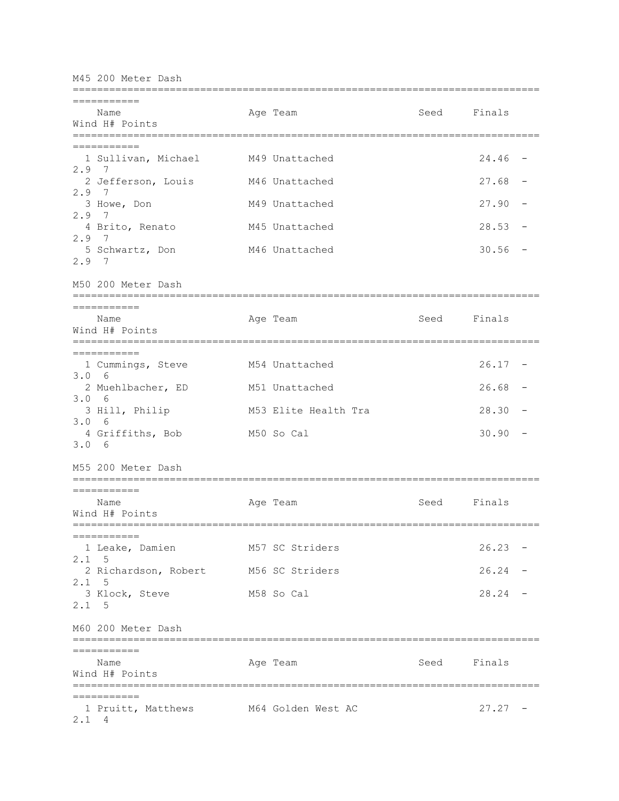M45 200 Meter Dash ============================================================================= =========== Name **Age Team** Age Team Seed Finals Wind H# Points ============================================================================= =========== 1 Sullivan, Michael M49 Unattached 24.46 - 2.9 7 2 Jefferson, Louis M46 Unattached 27.68 - 2.9 7 3 Howe, Don M49 Unattached 27.90 -2.9 7 4 Brito, Renato M45 Unattached 28.53 - 2.9 7 5 Schwartz, Don M46 Unattached 30.56 -2.9 7 M50 200 Meter Dash ============================================================================= =========== Name **Age Team** Age Team Seed Finals Wind H# Points ============================================================================= =========== 1 Cummings, Steve M54 Unattached 26.17 - 3.0 6 2 Muehlbacher, ED M51 Unattached 26.68 - 3.0 6 3 Hill, Philip M53 Elite Health Tra 28.30 -3.0 6 4 Griffiths, Bob M50 So Cal 30.90 - 3.0 6 M55 200 Meter Dash ============================================================================= =========== Name **Age Team** Age Team Seed Finals Wind H# Points ============================================================================= =========== 1 Leake, Damien M57 SC Striders 26.23 - 2.1 5 2 Richardson, Robert M56 SC Striders 26.24 -2.1 5 3 Klock, Steve M58 So Cal 28.24 - 2.1 5 M60 200 Meter Dash ============================================================================= =========== Name **Age Team** Age Team Seed Finals Wind H# Points ============================================================================= =========== 1 Pruitt, Matthews M64 Golden West AC 27.27 -2.1 4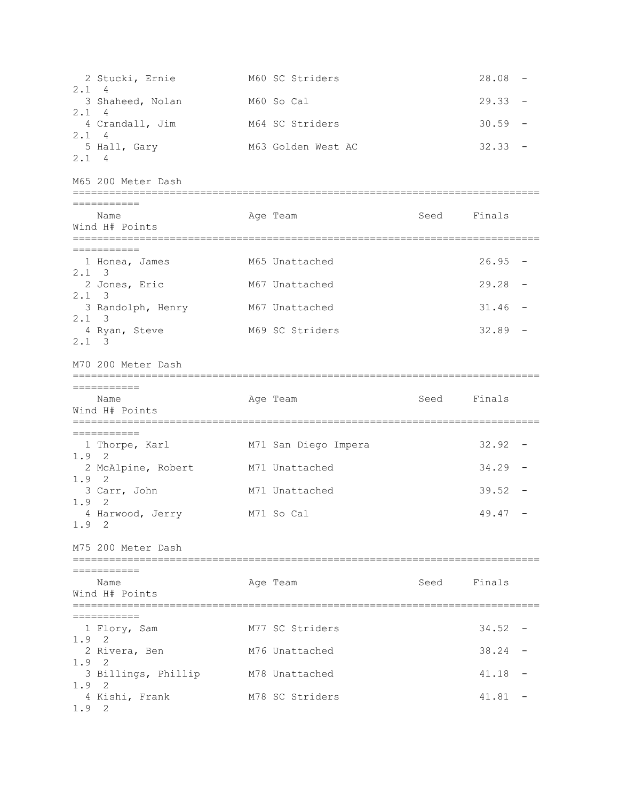2 Stucki, Ernie M60 SC Striders 28.08 - 2.1 4 3 Shaheed, Nolan M60 So Cal 29.33 -2.1 4 4 Crandall, Jim M64 SC Striders 30.59 - 2.1 4 5 Hall, Gary M63 Golden West AC 32.33 -2.1 4 M65 200 Meter Dash ============================================================================= =========== Name **Age Team** Age Team Seed Finals Wind H# Points ============================================================================= =========== 1 Honea, James M65 Unattached 26.95 - 2.1 3 2 Jones, Eric M67 Unattached 29.28 - 2.1 3 3 Randolph, Henry M67 Unattached 31.46 - 2.1 3 4 Ryan, Steve M69 SC Striders 32.89 - 2.1 3 M70 200 Meter Dash ============================================================================= =========== Name Age Team Age Team Seed Finals Wind H# Points ============================================================================= =========== 1 Thorpe, Karl M71 San Diego Impera 32.92 - 1.9 2 2 McAlpine, Robert M71 Unattached 34.29 - 1.9 2 3 Carr, John M71 Unattached 39.52 - 1.9 2 4 Harwood, Jerry M71 So Cal 49.47 -1.9 2 M75 200 Meter Dash ============================================================================= =========== Name **Age Team** Age Team Seed Finals Wind H# Points ============================================================================= =========== 1 Flory, Sam M77 SC Striders 34.52 -1.9 2 2 Rivera, Ben M76 Unattached 38.24 - 1.9 2 3 Billings, Phillip M78 Unattached 41.18 - 1.9 2 4 Kishi, Frank M78 SC Striders 41.81 - 1.9 2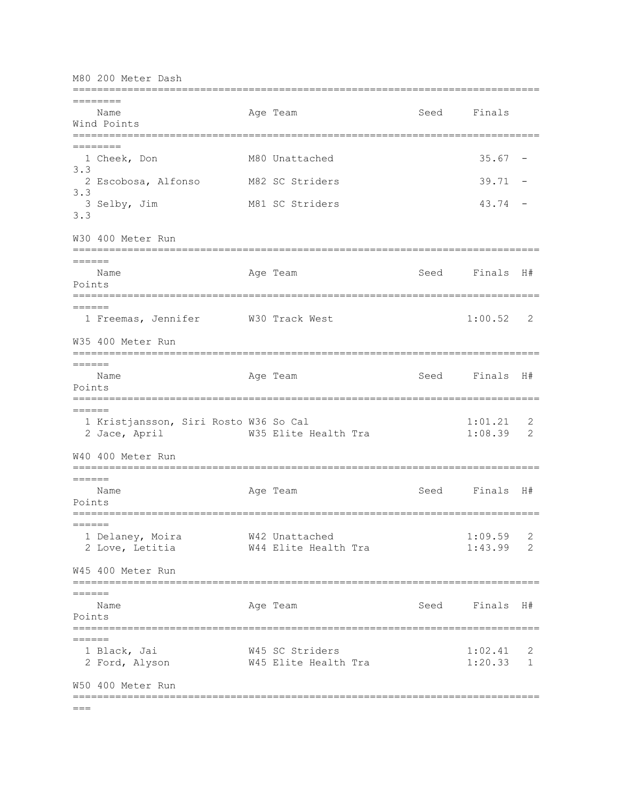M80 200 Meter Dash ============================================================================= ======== Name **Age Team** Age Team Seed Finals Wind Points ============================================================================= ======== 1 Cheek, Don M80 Unattached 35.67 - 3.3 2 Escobosa, Alfonso M82 SC Striders 39.71 -3.3 3 Selby, Jim M81 SC Striders 43.74 - 3.3 W30 400 Meter Run ============================================================================= ====== Name Age Team Seed Finals H# Points ============================================================================= ====== 1 Freemas, Jennifer M30 Track West 1:00.52 2 W35 400 Meter Run ============================================================================= ====== Name Age Team Seed Finals H# Points ============================================================================= ====== 1 Kristjansson, Siri Rosto W36 So Cal 1:01.21 2 2 Jace, April W35 Elite Health Tra 1:08.39 2 W40 400 Meter Run ============================================================================= ====== Name **Age Team Seed Finals H**# Points =============================================================================  $=$  1 Delaney, Moira W42 Unattached 1:09.59 2 2 Love, Letitia W44 Elite Health Tra 1:43.99 2 W45 400 Meter Run ============================================================================= ====== Name Age Team Seed Finals H# Points =============================================================================  $=$  1 Black, Jai W45 SC Striders 1:02.41 2 2 Ford, Alyson M45 Elite Health Tra 1:20.33 1 W50 400 Meter Run =============================================================================

 $=$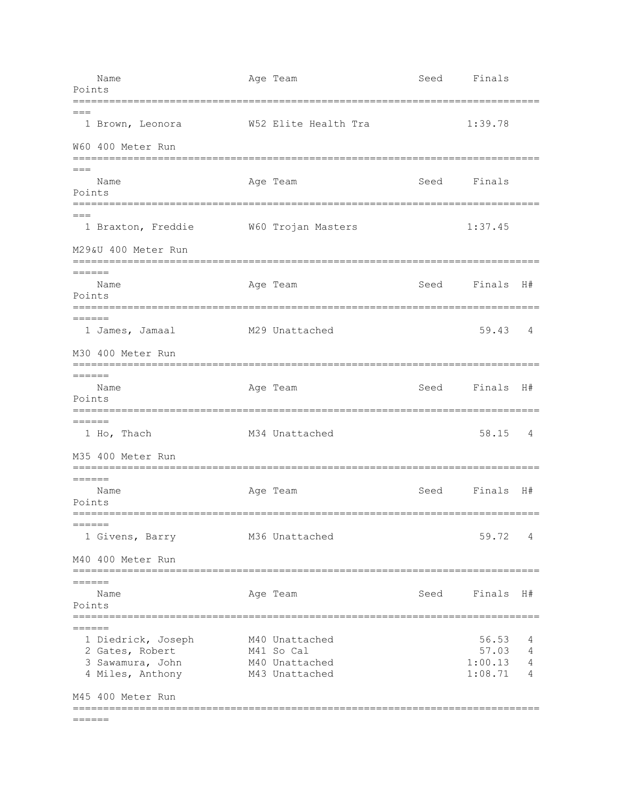| Points                        | Name                                                                          | Age Team                                                         | Seed                             | Finals                               |                  |
|-------------------------------|-------------------------------------------------------------------------------|------------------------------------------------------------------|----------------------------------|--------------------------------------|------------------|
| $===$                         | 1 Brown, Leonora                                                              | W52 Elite Health Tra                                             |                                  | 1:39.78                              |                  |
|                               | W60 400 Meter Run<br>================                                         | ---------------------------                                      |                                  |                                      |                  |
| $===$<br>Points               | Name                                                                          | Age Team                                                         | Seed                             | Finals                               |                  |
|                               | 1 Braxton, Freddie                                                            | W60 Trojan Masters                                               |                                  | 1:37.45                              |                  |
|                               | M29&U 400 Meter Run                                                           |                                                                  | ;=============================== |                                      |                  |
| $======$<br>Points            | Name                                                                          | Age Team                                                         |                                  | Seed Finals                          | H#               |
| $======$                      | ==========<br>1 James, Jamaal                                                 | M29 Unattached                                                   |                                  | 59.43                                | 4                |
|                               | M30 400 Meter Run<br>=========                                                |                                                                  |                                  |                                      |                  |
| $======$<br>Points            | Name                                                                          | Age Team                                                         | Seed                             | Finals                               | H#               |
| $======$                      | 1 Ho, Thach                                                                   | M34 Unattached                                                   |                                  | 58.15                                | 4                |
|                               | M35 400 Meter Run                                                             |                                                                  |                                  |                                      |                  |
| $======$<br>Points            | Name                                                                          | Age Team                                                         | Seed                             | Finals                               | H#               |
| $=$ $=$ $=$ $=$ $=$           | 1 Givens, Barry                                                               | M36 Unattached                                                   |                                  | 59.72                                | 4                |
|                               | M40 400 Meter Run                                                             |                                                                  |                                  |                                      |                  |
| $=$ $=$ $=$ $=$ $=$<br>Points | Name                                                                          | Age Team                                                         | Seed                             | Finals                               | H#               |
| $=======$                     |                                                                               |                                                                  |                                  |                                      |                  |
|                               | 1 Diedrick, Joseph<br>2 Gates, Robert<br>3 Sawamura, John<br>4 Miles, Anthony | M40 Unattached<br>M41 So Cal<br>M40 Unattached<br>M43 Unattached |                                  | 56.53<br>57.03<br>1:00.13<br>1:08.71 | 4<br>4<br>4<br>4 |
|                               | M45 400 Meter Run                                                             |                                                                  |                                  |                                      |                  |
| ======                        |                                                                               |                                                                  |                                  |                                      |                  |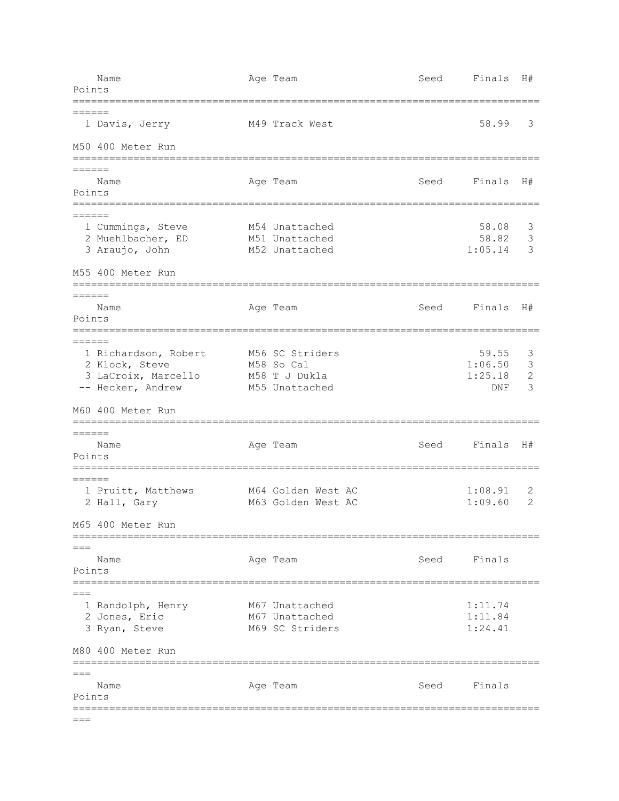Name Age Team Seed Finals H# Points ============================================================================= ====== 1 Davis, Jerry M49 Track West 58.99 3 M50 400 Meter Run ============================================================================= ====== Name **Age Team Seed Finals H**# Points =============================================================================  $=$ 1 Cummings, Steve M54 Unattached 1 1 2008 3 2 Muehlbacher, ED M51 Unattached 58.82 3 3 Araujo, John M52 Unattached 1:05.14 3 M55 400 Meter Run ============================================================================= ====== Name Age Team Seed Finals H# Points =============================================================================  $=$ 1 Richardson, Robert M56 SC Striders 1 1 2006 59.55 3 2 Klock, Steve M58 So Cal 1:06.50 3 3 LaCroix, Marcello M58 T J Dukla 1:25.18 2 -- Hecker, Andrew M55 Unattached DNF 3 M60 400 Meter Run ============================================================================= ====== Name  $A$ ge Team Seed Finals H# Points ============================================================================= ====== 1 Pruitt, Matthews M64 Golden West AC 1:08.91 2 2 Hall, Gary M63 Golden West AC 1:09.60 2 M65 400 Meter Run ============================================================================= === Name **Age Team** Age Team Seed Finals Points =============================================================================  $---$ 1 Randolph, Henry M67 Unattached 1:11.74 2 Jones, Eric M67 Unattached 1:11.84 3 Ryan, Steve M69 SC Striders 1:24.41 M80 400 Meter Run =============================================================================  $===$ Name Age Team Seed Finals Points =============================================================================  $=$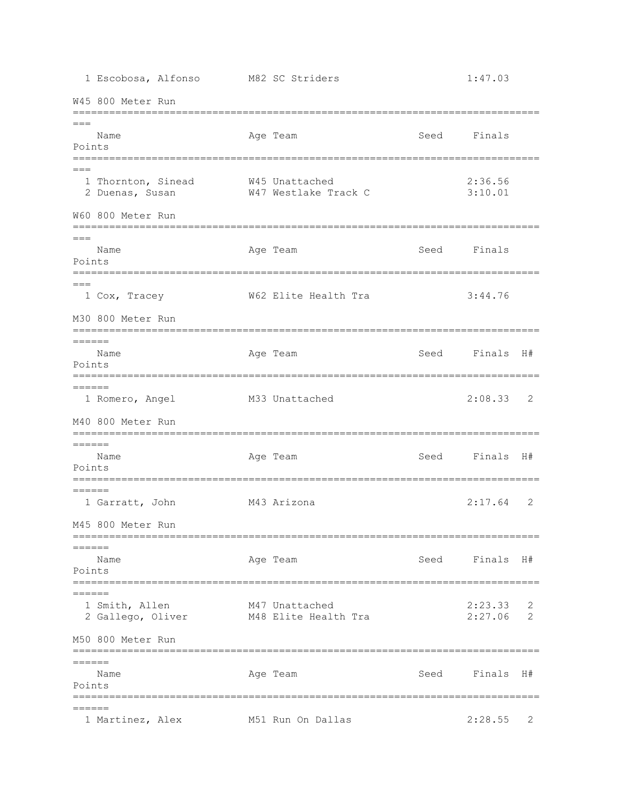1 Escobosa, Alfonso M82 SC Striders 1:47.03 W45 800 Meter Run =============================================================================  $===$ Name Age Team Seed Finals Points =============================================================================  $=$  1 Thornton, Sinead W45 Unattached 2:36.56 2 Duenas, Susan W47 Westlake Track C 3:10.01 W60 800 Meter Run =============================================================================  $=$  Name Age Team Seed Finals Points =============================================================================  $---$  1 Cox, Tracey W62 Elite Health Tra 3:44.76 M30 800 Meter Run =============================================================================  $=$  Name Age Team Seed Finals H# Points ============================================================================= ====== 1 Romero, Angel M33 Unattached 2:08.33 2 M40 800 Meter Run =============================================================================  $=$ Name Age Team Seed Finals H# Points =============================================================================  $=$  1 Garratt, John M43 Arizona 2:17.64 2 M45 800 Meter Run =============================================================================  $=$  Name Age Team Seed Finals H# Points =============================================================================  $------$ 1 Smith, Allen M47 Unattached 2:23.33 2 2 Gallego, Oliver M48 Elite Health Tra 2:27.06 2 M50 800 Meter Run =============================================================================  $=$ Name **Age Team Seed Finals H**# Points ============================================================================= ====== 1 Martinez, Alex M51 Run On Dallas 2:28.55 2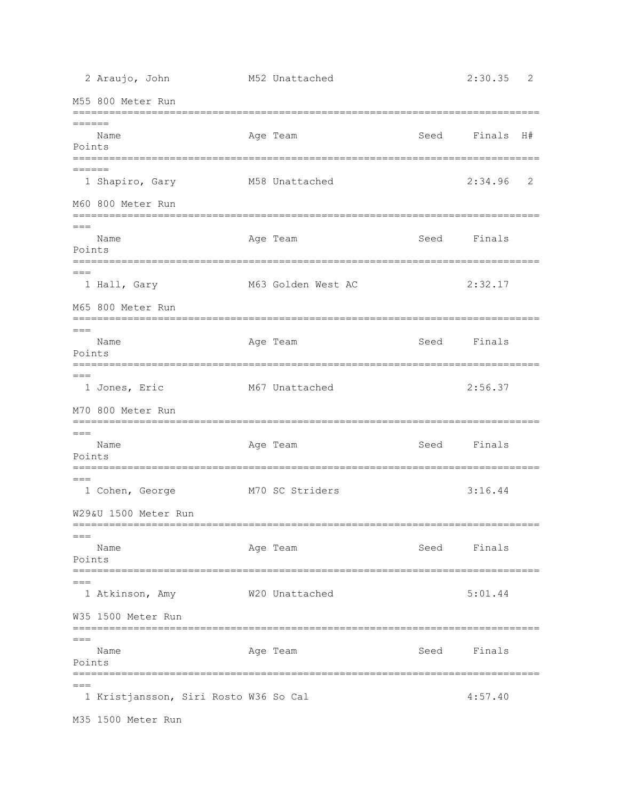2 Araujo, John M52 Unattached 2:30.35 2 M55 800 Meter Run =============================================================================  $=$  Name Age Team Seed Finals H# Points ============================================================================= ====== 1 Shapiro, Gary M58 Unattached 2:34.96 2 M60 800 Meter Run =============================================================================  $---$ Name Age Team Seed Finals Points ============================================================================= === 1 Hall, Gary M63 Golden West AC 2:32.17 M65 800 Meter Run =============================================================================  $=$ Name Age Team Seed Finals Points =============================================================================  $=$  1 Jones, Eric M67 Unattached 2:56.37 M70 800 Meter Run ============================================================================= === Name **Age Team** Age Team Seed Finals Points =============================================================================  $---$  1 Cohen, George M70 SC Striders 3:16.44 W29&U 1500 Meter Run =============================================================================  $---$ Name **Age Team** Age Team Seed Finals Points ============================================================================= === 1 Atkinson, Amy W20 Unattached 5:01.44 W35 1500 Meter Run =============================================================================  $=$ Name **Age Team** Age Team Seed Finals Points =============================================================================  $=$ 1 Kristjansson, Siri Rosto W36 So Cal 4:57.40 M35 1500 Meter Run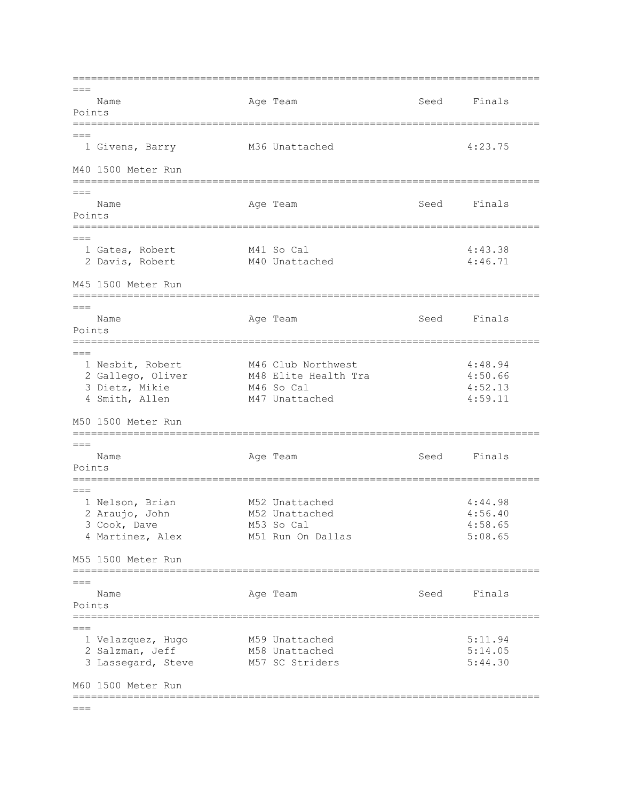=============================================================================  $=$ Name **Age Team** Age Team Seed Finals Points =============================================================================  $=$  1 Givens, Barry M36 Unattached 4:23.75 M40 1500 Meter Run ============================================================================= === Name Age Team Age Team Seed Finals Points =============================================================================  $=$ 1 Gates, Robert M41 So Cal 4:43.38 2 Davis, Robert M40 Unattached 4:46.71 M45 1500 Meter Run ============================================================================= === Name **Age Team** Age Team Seed Finals Points ============================================================================= === 1 Nesbit, Robert M46 Club Northwest 4:48.94 2 Gallego, Oliver M48 Elite Health Tra 3:50.66 3 Dietz, Mikie M46 So Cal 4:52.13 4 Smith, Allen M47 Unattached 4:59.11 M50 1500 Meter Run =============================================================================  $=$ Name **Age Team** Age Team Seed Finals Points =============================================================================  $---$  1 Nelson, Brian M52 Unattached 4:44.98 2 Araujo, John M52 Unattached 4:56.40 3 Cook, Dave M53 So Cal 4:58.65 4 Martinez, Alex M51 Run On Dallas 5:08.65 M55 1500 Meter Run ============================================================================= === Name **Age Team** Age Team Seed Finals Points ============================================================================= === 1 Velazquez, Hugo M59 Unattached 5:11.94 2 Salzman, Jeff M58 Unattached 5:14.05 3 Lassegard, Steve M57 SC Striders 5:44.30 M60 1500 Meter Run =============================================================================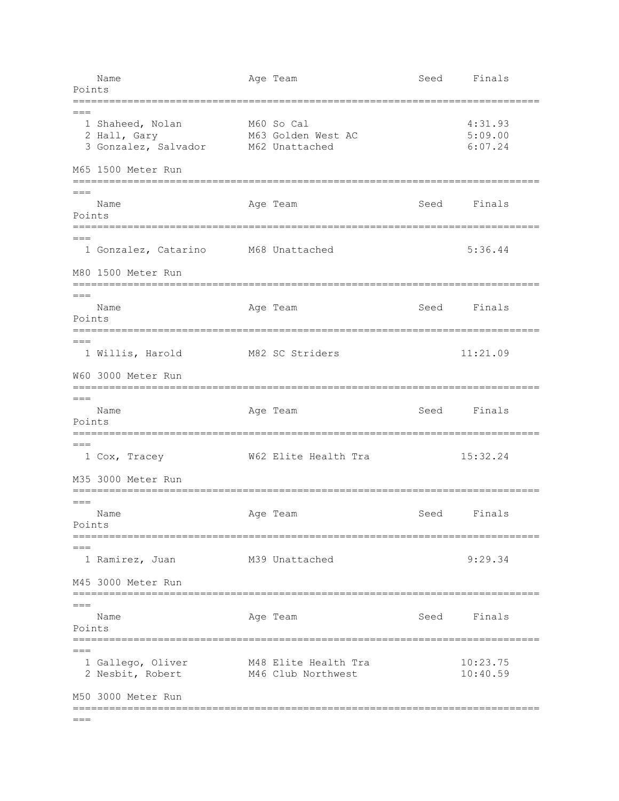| Points                | Name                                                                           | Age Team                                                                                | Seed | Finals                        |
|-----------------------|--------------------------------------------------------------------------------|-----------------------------------------------------------------------------------------|------|-------------------------------|
| $===$                 | 1 Shaheed, Nolan<br>2 Hall, Gary<br>3 Gonzalez, Salvador<br>M65 1500 Meter Run | =================================<br>M60 So Cal<br>M63 Golden West AC<br>M62 Unattached |      | 4:31.93<br>5:09.00<br>6:07.24 |
|                       |                                                                                |                                                                                         |      |                               |
| ===<br>Points         | Name                                                                           | Age Team                                                                                | Seed | Finals                        |
| $===$                 | 1 Gonzalez, Catarino<br>M80 1500 Meter Run                                     | M68 Unattached                                                                          |      | 5:36.44                       |
|                       |                                                                                |                                                                                         |      |                               |
| $===$<br>Points       | Name                                                                           | Age Team                                                                                | Seed | Finals                        |
| $===$                 | 1 Willis, Harold                                                               | M82 SC Striders                                                                         |      | 11:21.09                      |
|                       | W60 3000 Meter Run                                                             |                                                                                         |      |                               |
| $=$ $=$ $=$<br>Points | Name                                                                           | Age Team                                                                                | Seed | Finals                        |
| $===$                 | 1 Cox, Tracey                                                                  | W62 Elite Health Tra                                                                    |      | 15:32.24                      |
|                       | M35 3000 Meter Run                                                             |                                                                                         |      |                               |
| Points                | Name                                                                           | Age Team                                                                                | Seed | Finals                        |
| $===$                 | 1 Ramirez, Juan                                                                | M39 Unattached                                                                          |      | 9:29.34                       |
|                       | M45 3000 Meter Run                                                             |                                                                                         |      |                               |
| $===$<br>Points       | ============<br>Name                                                           | Age Team                                                                                | Seed | Finals                        |
| $===$                 | 1 Gallego, Oliver<br>2 Nesbit, Robert                                          | M48 Elite Health Tra<br>M46 Club Northwest                                              |      | 10:23.75<br>10:40.59          |
|                       | M50 3000 Meter Run                                                             |                                                                                         |      |                               |
| $===$                 |                                                                                |                                                                                         |      |                               |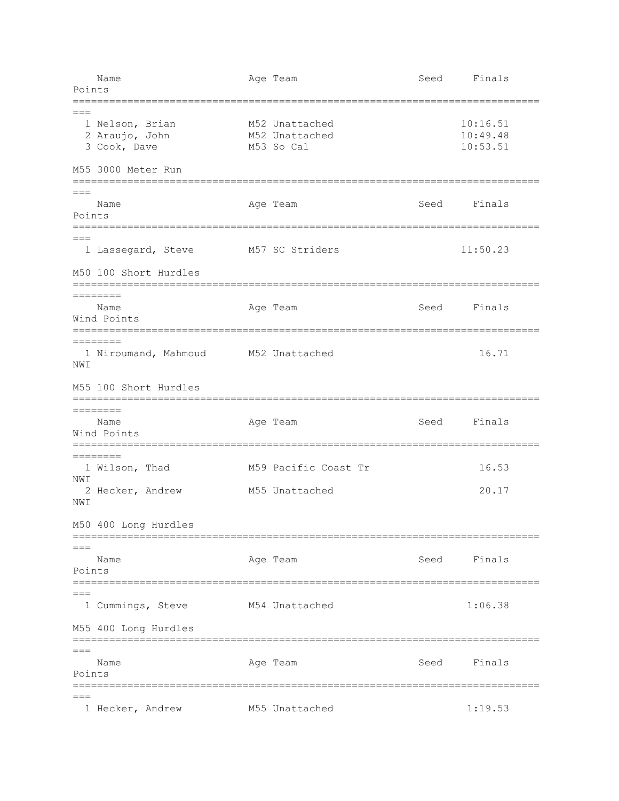| Name<br>Points                                                            | Age Team                                       | Seed | Finals                           |  |
|---------------------------------------------------------------------------|------------------------------------------------|------|----------------------------------|--|
| $===$<br>1 Nelson, Brian<br>2 Araujo, John<br>3 Cook, Dave                | M52 Unattached<br>M52 Unattached<br>M53 So Cal |      | 10:16.51<br>10:49.48<br>10:53.51 |  |
| M55 3000 Meter Run                                                        |                                                |      |                                  |  |
| $===$<br>Name<br>Points                                                   | Age Team                                       | Seed | Finals                           |  |
| 1 Lassegard, Steve                                                        | M57 SC Striders                                |      | 11:50.23                         |  |
| M50 100 Short Hurdles                                                     |                                                |      |                                  |  |
| ========<br>Name<br>Wind Points                                           | Age Team                                       | Seed | Finals                           |  |
| $=$ =======<br>1 Niroumand, Mahmoud M52 Unattached<br>NWI                 |                                                |      | 16.71                            |  |
| M55 100 Short Hurdles                                                     |                                                |      |                                  |  |
| :==================================<br>$=$ =======<br>Name<br>Wind Points | =======================<br>Age Team            | Seed | Finals                           |  |
| ========<br>1 Wilson, Thad<br>NWI                                         | M59 Pacific Coast Tr                           |      | 16.53                            |  |
| 2 Hecker, Andrew<br>NWI                                                   | M55 Unattached                                 |      | 20.17                            |  |
| M50 400 Long Hurdles                                                      |                                                |      |                                  |  |
| $===$<br>Name<br>Points                                                   | Age Team                                       |      | Seed Finals                      |  |
| $===$<br>1 Cummings, Steve                                                | M54 Unattached                                 |      | 1:06.38                          |  |
| M55 400 Long Hurdles                                                      |                                                |      |                                  |  |
| $===$<br>Name<br>Points<br>========================                       | Age Team<br>==============================     | Seed | Finals                           |  |
| $===$<br>1 Hecker, Andrew                                                 | M55 Unattached                                 |      | 1:19.53                          |  |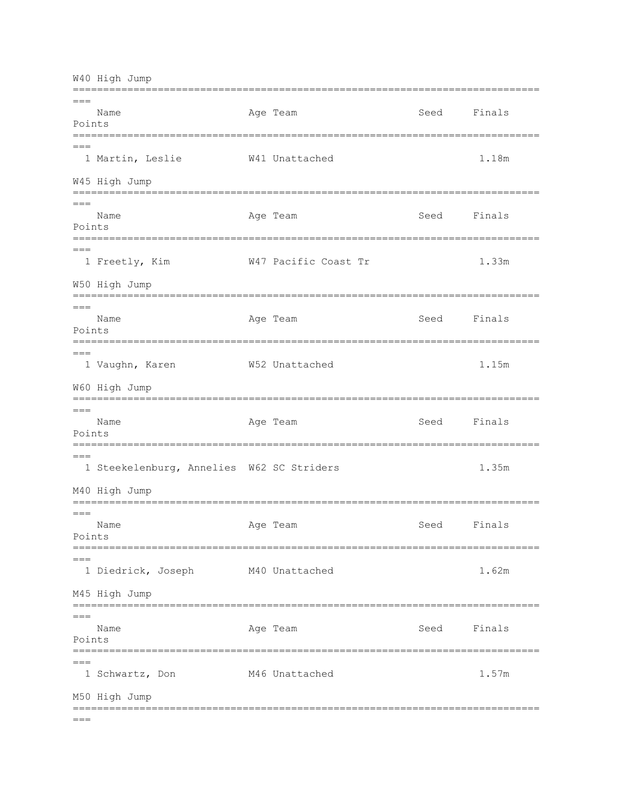W40 High Jump  $\qquad -$ Age Team Name Seed Finals Points 1 Martin, Leslie W41 Unattached 1.18m W45 High Jump  $=$  $=$  $=$  $N$ ame Age Team Seed Finals Points  $---$ 1 Freetly, Kim W47 Pacific Coast Tr 1.33m W50 High Jump  $\frac{1}{2}$ Age Team Name Seed Finals Points  $==$ 1 Vaughn, Karen W52 Unattached 1.15m W60 High Jump  $= - -$ Age Team Seed Finals Name Points 1 Steekelenburg, Annelies W62 SC Striders 1.35m M40 High Jump  $=$  $=$  $=$ Age Team Seed Finals Name Points  $=$  $=$  $=$ 1 Diedrick, Joseph M40 Unattached 1.62m M45 High Jump  $= ==$ Name Age Team Seed Finals Points  $---$ 1 Schwartz, Don M46 Unattached 1.57m M50 High Jump  $= == =$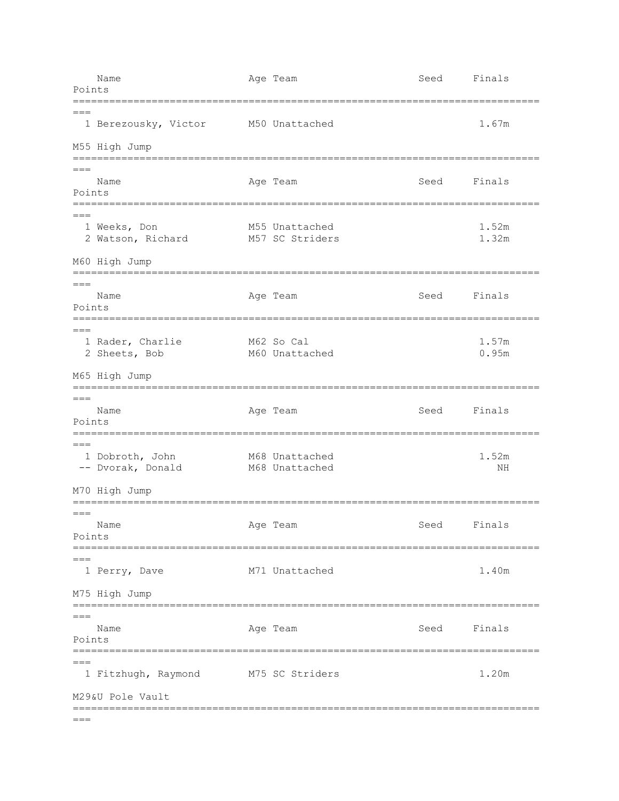| Points                | Name                                 | Age Team                                  | Seed | Finals         |
|-----------------------|--------------------------------------|-------------------------------------------|------|----------------|
| $==$                  | ========<br>1 Berezousky, Victor     | =======================<br>M50 Unattached |      | 1.67m          |
|                       | M55 High Jump                        |                                           |      |                |
| Points                | Name<br>==========                   | Age Team                                  | Seed | Finals         |
| $==$                  | 1 Weeks, Don<br>2 Watson, Richard    | M55 Unattached<br>M57 SC Striders         |      | 1.52m<br>1.32m |
|                       | M60 High Jump<br>=================   |                                           |      |                |
| $=$ $=$ $=$<br>Points | Name                                 | Age Team                                  | Seed | Finals         |
| $===$                 | 1 Rader, Charlie<br>2 Sheets, Bob    | M62 So Cal<br>M60 Unattached              |      | 1.57m<br>0.95m |
|                       | M65 High Jump<br>==================  |                                           |      |                |
| $===$<br>Points       | Name                                 | Age Team                                  | Seed | Finals         |
| $==$                  | 1 Dobroth, John<br>-- Dvorak, Donald | M68 Unattached<br>M68 Unattached          |      | 1.52m<br>ΝH    |
|                       | M70 High Jump                        |                                           |      |                |
| $== =$<br>Points      | Name                                 | Age Team                                  | Seed | Finals         |
|                       | 1 Perry, Dave                        | M71 Unattached                            |      | 1.40m          |
|                       | M75 High Jump<br>==============      |                                           |      |                |
| $===$<br>Points       | Name                                 | Age Team                                  | Seed | Finals         |
| $==$                  | 1 Fitzhugh, Raymond                  | M75 SC Striders                           |      | 1.20m          |
| $===$                 | M29&U Pole Vault                     |                                           |      |                |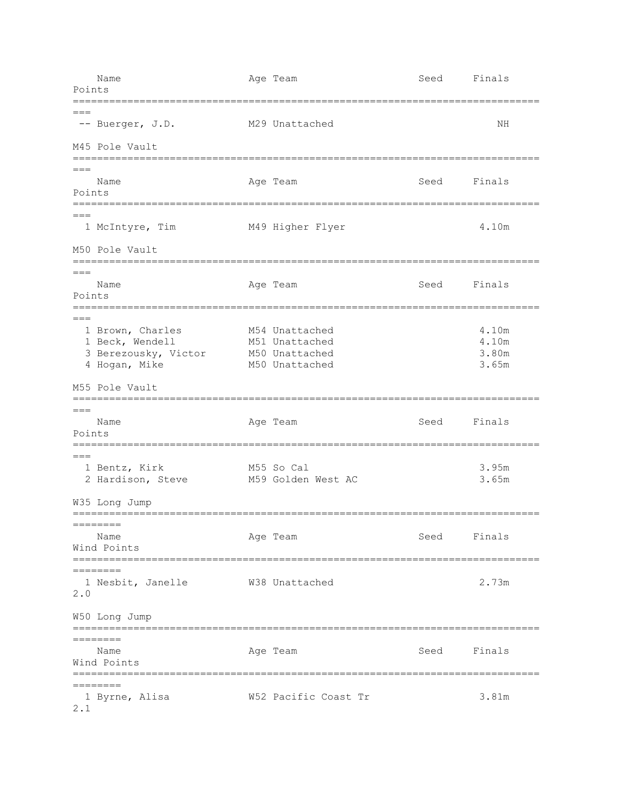Name Age Team Age Team Seed Finals Points ============================================================================= === -- Buerger, J.D. M29 Unattached NH M45 Pole Vault =============================================================================  $=$ Name **Age Team** Age Team Seed Finals Points =============================================================================  $=$  1 McIntyre, Tim M49 Higher Flyer 4.10m M50 Pole Vault =============================================================================  $===$ Name **Age Team** Age Team Seed Finals Points =============================================================================  $=$ 1 Brown, Charles M54 Unattached 4.10m 1 Beck, Wendell M51 Unattached 4.10m 3 Berezousky, Victor M50 Unattached 3.80m 4 Hogan, Mike M50 Unattached 3.65m M55 Pole Vault =============================================================================  $=$ Name **Age Team** Age Team Seed Finals Points =============================================================================  $=$ 1 Bentz, Kirk M55 So Cal 3.95m 2 Hardison, Steve M59 Golden West AC 3.65m W35 Long Jump ============================================================================= ======== Name Age Team Seed Finals Wind Points ============================================================================= ======== 1 Nesbit, Janelle W38 Unattached 2.73m 2.0 W50 Long Jump ============================================================================= ======== Name **Age Team** Age Team Seed Finals Wind Points ============================================================================= ======== 1 Byrne, Alisa W52 Pacific Coast Tr 3.81m 2.1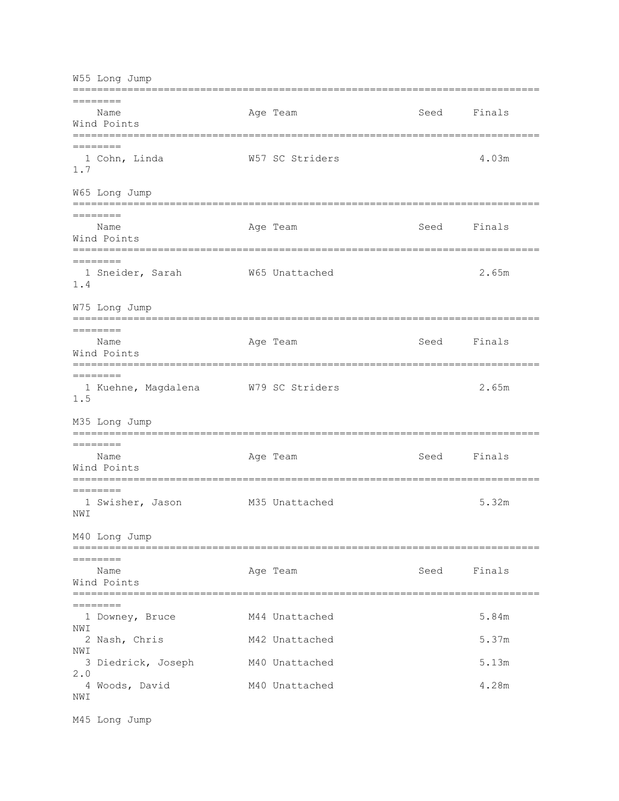W55 Long Jump ============================================================================= ======== Name **Age Team** Age Team Seed Finals Wind Points ============================================================================= ======== 1 Cohn, Linda W57 SC Striders 4.03m 1.7 W65 Long Jump ============================================================================= ======== Name **Age Team** Age Team Seed Finals Wind Points ============================================================================= ======== 1 Sneider, Sarah  $W$ 65 Unattached 2.65m 1.4 W75 Long Jump =============================================================================  $=$ Name Age Team Seed Finals Wind Points ============================================================================= ======== 1 Kuehne, Magdalena W79 SC Striders 2.65m 1.5 M35 Long Jump ============================================================================= ======== Name **Age Team** Age Team Seed Finals Wind Points ============================================================================= ======== 1 Swisher, Jason M35 Unattached 5.32m NWI M40 Long Jump ============================================================================= ======== Name Age Team Seed Finals Wind Points ============================================================================= ======== 1 Downey, Bruce M44 Unattached 5.84m NWI 2 Nash, Chris **M42 Unattached** 5.37m NWI 3 Diedrick, Joseph M40 Unattached 5.13m 2.0 4 Woods, David M40 Unattached 4.28m NW<sub>T</sub>

M45 Long Jump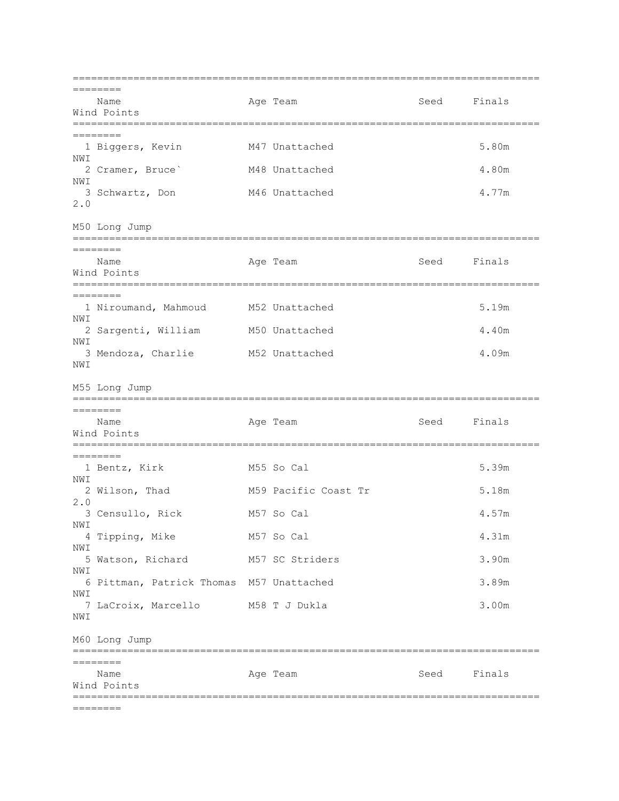| ==================                              |                      |             | ================ |
|-------------------------------------------------|----------------------|-------------|------------------|
| ========                                        |                      |             |                  |
| Name<br>Wind Points                             | Age Team             | Seed Finals |                  |
|                                                 |                      |             |                  |
| ========                                        |                      |             |                  |
| 1 Biggers, Kevin<br>NWI                         | M47 Unattached       |             | 5.80m            |
| 2 Cramer, Bruce <sup>'</sup>                    | M48 Unattached       |             | 4.80m            |
| NWI                                             |                      |             |                  |
| 3 Schwartz, Don<br>2.0                          | M46 Unattached       |             | 4.77m            |
|                                                 |                      |             |                  |
| M50 Long Jump                                   |                      |             |                  |
| ========                                        |                      |             |                  |
| Name                                            | Age Team             | Seed        | Finals           |
| Wind Points                                     |                      |             |                  |
| ========<br>========                            |                      |             |                  |
| 1 Niroumand, Mahmoud                            | M52 Unattached       |             | 5.19m            |
| NWI<br>2 Sargenti, William                      | M50 Unattached       |             | 4.40m            |
| NWI                                             |                      |             |                  |
| 3 Mendoza, Charlie M52 Unattached               |                      |             | 4.09m            |
| NWI                                             |                      |             |                  |
| M55 Long Jump                                   |                      |             |                  |
|                                                 |                      |             |                  |
| ========<br>Name                                | Age Team             | Seed        | Finals           |
| Wind Points                                     |                      |             |                  |
|                                                 |                      |             |                  |
| $=$ =======<br>1 Bentz, Kirk                    | M55 So Cal           |             | 5.39m            |
| NW T                                            |                      |             |                  |
| 2 Wilson, Thad                                  | M59 Pacific Coast Tr |             | 5.18m            |
| 2.0<br>3 Censullo, Rick                         | M57 So Cal           |             | 4.57m            |
| NWI                                             |                      |             |                  |
| 4 Tipping, Mike                                 | M57 So Cal           |             | 4.31m            |
| NWI<br>5 Watson, Richard                        | M57 SC Striders      |             | 3.90m            |
| NWI                                             |                      |             |                  |
| 6 Pittman, Patrick Thomas M57 Unattached<br>NWI |                      |             | 3.89m            |
| 7 LaCroix, Marcello                             | M58 T J Dukla        |             | 3.00m            |
| NWI                                             |                      |             |                  |
| M60 Long Jump                                   |                      |             |                  |
|                                                 |                      |             |                  |
| ========                                        |                      |             |                  |
| Name<br>Wind Points                             | Age Team             | Seed        | Finals           |
|                                                 |                      |             |                  |
| ========                                        |                      |             |                  |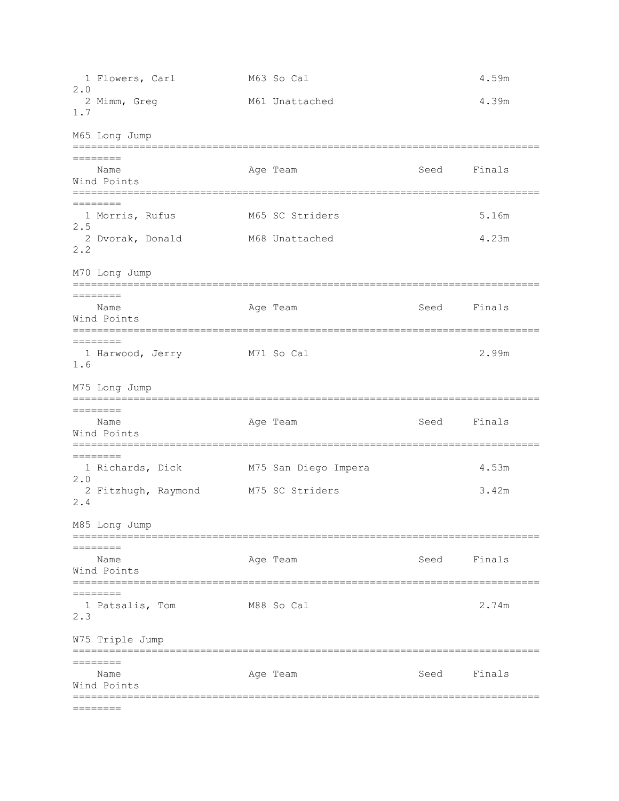1 Flowers, Carl M63 So Cal 4.59m 2.0 2 Mimm, Greg 6.39m 1.7 M65 Long Jump ============================================================================= ======== Name Age Team Seed Finals Wind Points ============================================================================= ======== 1 Morris, Rufus M65 SC Striders 3.16m 2.5 2 Dvorak, Donald M68 Unattached 4.23m 2.2 M70 Long Jump ============================================================================= ======== Name **Age Team** Age Team Seed Finals Wind Points ============================================================================= ======== 1 Harwood, Jerry M71 So Cal 2.99m 1.6 M75 Long Jump ============================================================================= ======== Name **Age Team** Age Team Seed Finals Wind Points ============================================================================= ======== 1 Richards, Dick M75 San Diego Impera 4.53m 2.0 2 Fitzhugh, Raymond M75 SC Striders 3.42m 2.4 M85 Long Jump ============================================================================= ======== Name **Age Team** Age Team Seed Finals Wind Points ============================================================================= ======== 1 Patsalis, Tom M88 So Cal 2.74m 2.3 W75 Triple Jump ============================================================================= ======== Name **Age Team** Age Team Seed Finals Wind Points ============================================================================= ========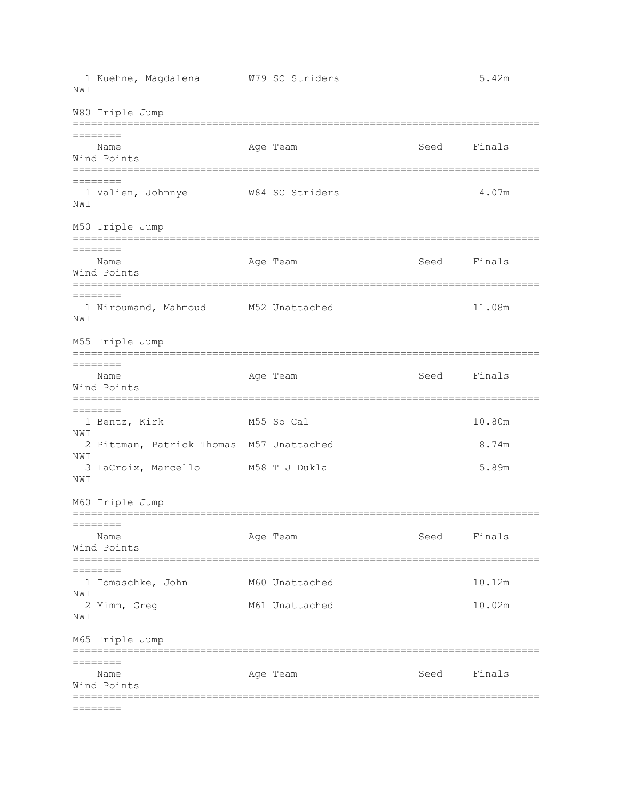1 Kuehne, Magdalena W79 SC Striders 5.42m NM<sub>T</sub> W80 Triple Jump ============================================================================= ======== Name **Age Team** Age Team Seed Finals Wind Points ============================================================================= ======== 1 Valien, Johnnye W84 SC Striders 4.07m NWI M50 Triple Jump ============================================================================= ======== Name **Age Team** Age Team Seed Finals Wind Points ============================================================================= ======== 1 Niroumand, Mahmoud M52 Unattached 11.08m NWI M55 Triple Jump ============================================================================= ======== Name **Age Team** Age Team Seed Finals Wind Points ============================================================================= ======== 1 Bentz, Kirk M55 So Cal 10.80m NWI 2 Pittman, Patrick Thomas M57 Unattached 8.74m NWI 3 LaCroix, Marcello M58 T J Dukla 5.89m NWI M60 Triple Jump =============================================================================  $=$ Name Age Team Seed Finals Wind Points ============================================================================= ======== 1 Tomaschke, John M60 Unattached 10.12m NWI 2 Mimm, Greg M61 Unattached 10.02m NWI M65 Triple Jump ============================================================================= ======== Name **Age Team** Age Team Seed Finals Wind Points ============================================================================= ========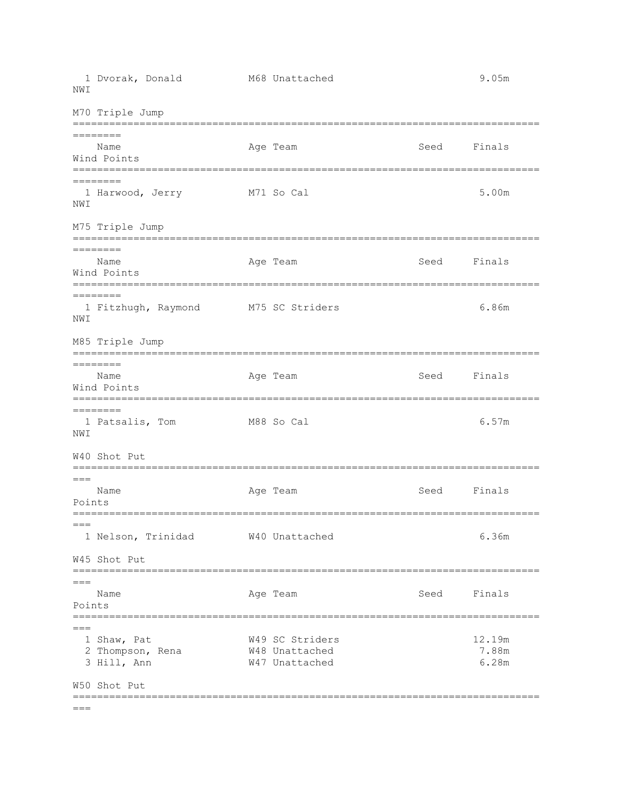1 Dvorak, Donald M68 Unattached 9.05m NM<sub>T</sub> M70 Triple Jump ============================================================================= ======== Name **Age Team** Age Team Seed Finals Wind Points ============================================================================= ======== 1 Harwood, Jerry M71 So Cal 5.00m NWI M75 Triple Jump ============================================================================= ======== Name **Age Team** Age Team Seed Finals Wind Points ============================================================================= ======== 1 Fitzhugh, Raymond M75 SC Striders 6.86m NWI M85 Triple Jump ============================================================================= ======== Name **Age Team** Age Team Seed Finals Wind Points ============================================================================= ======== 1 Patsalis, Tom M88 So Cal 6.57m NWI W40 Shot Put =============================================================================  $=$ Name Age Team Seed Finals Points =============================================================================  $=$  1 Nelson, Trinidad W40 Unattached 6.36m W45 Shot Put ============================================================================= === Name **Age Team** Age Team Seed Finals Points ============================================================================= === 1 Shaw, Pat W49 SC Striders 12.19m 2 Thompson, Rena W48 Unattached 7.88m 3 Hill, Ann W47 Unattached 6.28m W50 Shot Put =============================================================================

 $=$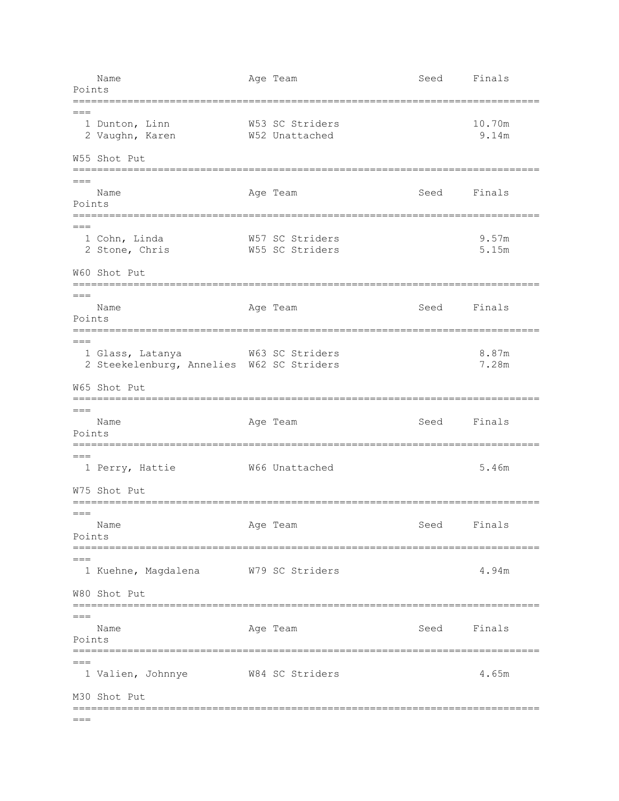| Points            | Name                                                                          | Age Team                            | Seed | Finals          |
|-------------------|-------------------------------------------------------------------------------|-------------------------------------|------|-----------------|
| $===$             | 1 Dunton, Linn<br>2 Vaughn, Karen<br>W55 Shot Put                             | W53 SC Striders<br>W52 Unattached   |      | 10.70m<br>9.14m |
| $== ==$<br>Points | ==================<br>Name<br>-----------                                     | =======================<br>Age Team | Seed | Finals          |
|                   | 1 Cohn, Linda<br>2 Stone, Chris<br>W60 Shot Put                               | W57 SC Striders<br>W55 SC Striders  |      | 9.57m<br>5.15m  |
| $===$<br>Points   | =================<br>Name                                                     | Age Team                            | Seed | Finals          |
| $== =$            | 1 Glass, Latanya<br>2 Steekelenburg, Annelies W62 SC Striders<br>W65 Shot Put | W63 SC Striders                     |      | 8.87m<br>7.28m  |
| $===$<br>Points   | ==========<br>Name                                                            | Age Team                            | Seed | Finals          |
|                   | 1 Perry, Hattie<br>W75 Shot Put                                               | W66 Unattached                      |      | 5.46m           |
| $===$<br>Points   | ===============================<br>Name                                       | Age Team                            | Seed | Finals          |
|                   | 1 Kuehne, Magdalena<br>W80 Shot Put                                           | W79 SC Striders                     |      | 4.94m           |
| $===$<br>Points   | Name                                                                          | Age Team                            | Seed | Finals          |
| $===$             | 1 Valien, Johnnye<br>M30 Shot Put                                             | W84 SC Striders                     |      | 4.65m           |
| $===$             |                                                                               |                                     |      |                 |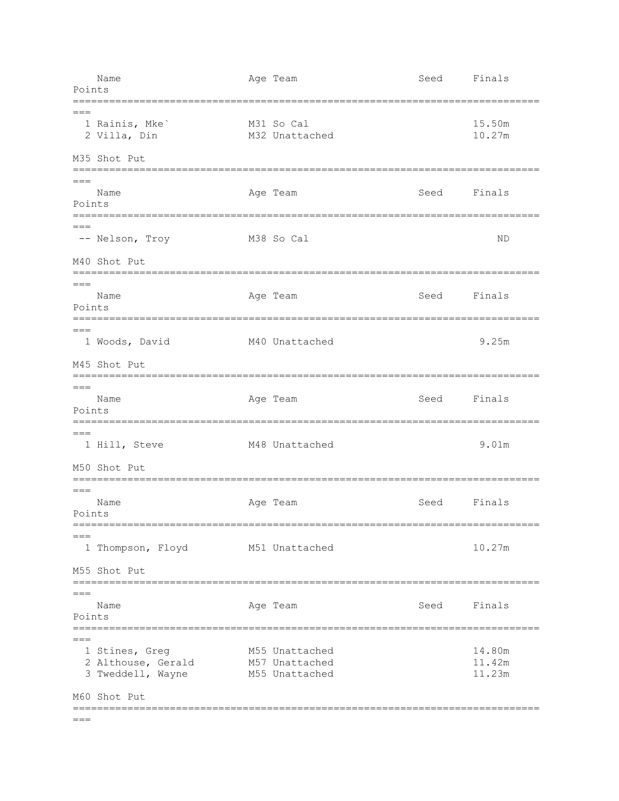| Points          | Name                                                                      | Age Team                                           | Seed        | Finals                     |
|-----------------|---------------------------------------------------------------------------|----------------------------------------------------|-------------|----------------------------|
| $===$           | 1 Rainis, Mke'<br>2 Villa, Din                                            | M31 So Cal<br>M32 Unattached                       |             | 15.50m<br>10.27m           |
|                 | M35 Shot Put                                                              | -----------------------                            |             |                            |
| $===$<br>Points | Name<br>=============================                                     | Age Team<br>===================                    | Seed        | Finals                     |
|                 | -- Nelson, Troy<br>M40 Shot Put                                           | M38 So Cal                                         |             | ΝD                         |
| $==$<br>Points  | Name                                                                      | Age Team                                           | Seed Finals |                            |
| $===$           | 1 Woods, David<br>M45 Shot Put                                            | M40 Unattached                                     |             | 9.25m                      |
| $===$<br>Points | Name                                                                      | Age Team                                           | Seed        | Finals                     |
| $===$           | 1 Hill, Steve<br>M50 Shot Put                                             | M48 Unattached                                     |             | 9.01m                      |
| $===$<br>Points | Name                                                                      | Age Team                                           | Seed        | Finals                     |
| $== =$          | 1 Thompson, Floyd<br>M55 Shot Put                                         | M51 Unattached                                     |             | 10.27m                     |
| $===$<br>Points | Name                                                                      | Age Team                                           | Seed Finals |                            |
| $===$           | 1 Stines, Greg<br>2 Althouse, Gerald<br>3 Tweddell, Wayne<br>M60 Shot Put | M55 Unattached<br>M57 Unattached<br>M55 Unattached |             | 14.80m<br>11.42m<br>11.23m |
| $===$           |                                                                           |                                                    |             |                            |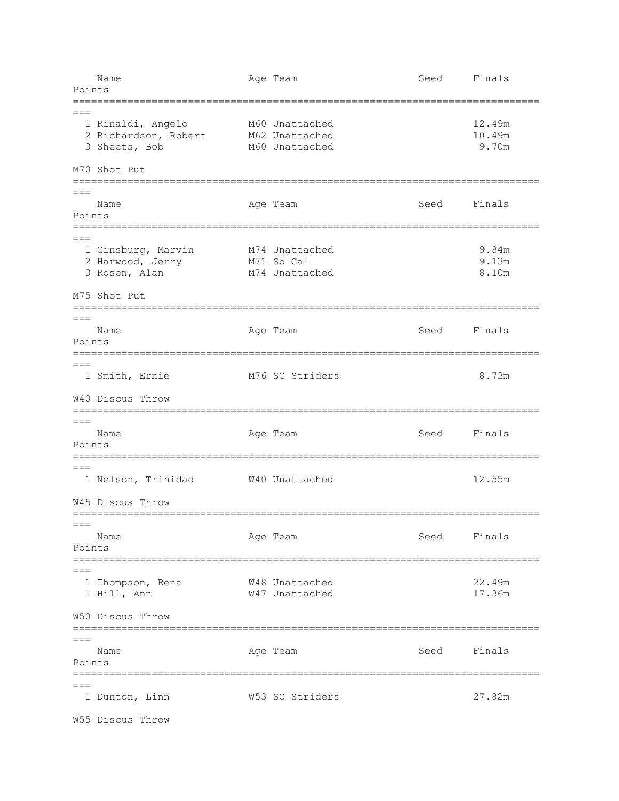|                 | Name                                                                    | Age Team                                           | Seed | Finals                    |
|-----------------|-------------------------------------------------------------------------|----------------------------------------------------|------|---------------------------|
| Points          |                                                                         |                                                    |      |                           |
| $===$           | 1 Rinaldi, Angelo<br>2 Richardson, Robert<br>3 Sheets, Bob              | M60 Unattached<br>M62 Unattached<br>M60 Unattached |      | 12.49m<br>10.49m<br>9.70m |
|                 | M70 Shot Put                                                            |                                                    |      |                           |
| $===$           | ==============                                                          | =============================                      |      |                           |
| Points          | Name                                                                    | Age Team                                           | Seed | Finals                    |
|                 |                                                                         |                                                    |      |                           |
|                 | 1 Ginsburg, Marvin<br>2 Harwood, Jerry<br>3 Rosen, Alan<br>M75 Shot Put | M74 Unattached<br>M71 So Cal<br>M74 Unattached     |      | 9.84m<br>9.13m<br>8.10m   |
|                 | ==========                                                              | ==================                                 |      |                           |
| $===$<br>Points | Name                                                                    | Age Team                                           | Seed | Finals                    |
| $===$           | 1 Smith, Ernie                                                          | M76 SC Striders                                    |      | 8.73m                     |
|                 | W40 Discus Throw                                                        |                                                    |      |                           |
| $===$<br>Points | =============================<br>Name                                   | ========================<br>Age Team               | Seed | Finals                    |
|                 |                                                                         |                                                    |      |                           |
|                 | 1 Nelson, Trinidad                                                      | W40 Unattached                                     |      | 12.55m                    |
|                 | W45 Discus Throw<br>==============================                      |                                                    |      |                           |
| ===<br>Points   | Name<br>====================                                            | Age Team<br>==============================         | Seed | Finals                    |
|                 | 1 Thompson, Rena<br>1 Hill, Ann                                         | W48 Unattached<br>W47 Unattached                   |      | 22.49m<br>17.36m          |
|                 | W50 Discus Throw                                                        |                                                    |      |                           |
| $===$<br>Points | ====================<br>Name                                            | Age Team                                           | Seed | Finals                    |
|                 | 1 Dunton, Linn                                                          | W53 SC Striders                                    |      | 27.82m                    |
|                 | W55 Discus Throw                                                        |                                                    |      |                           |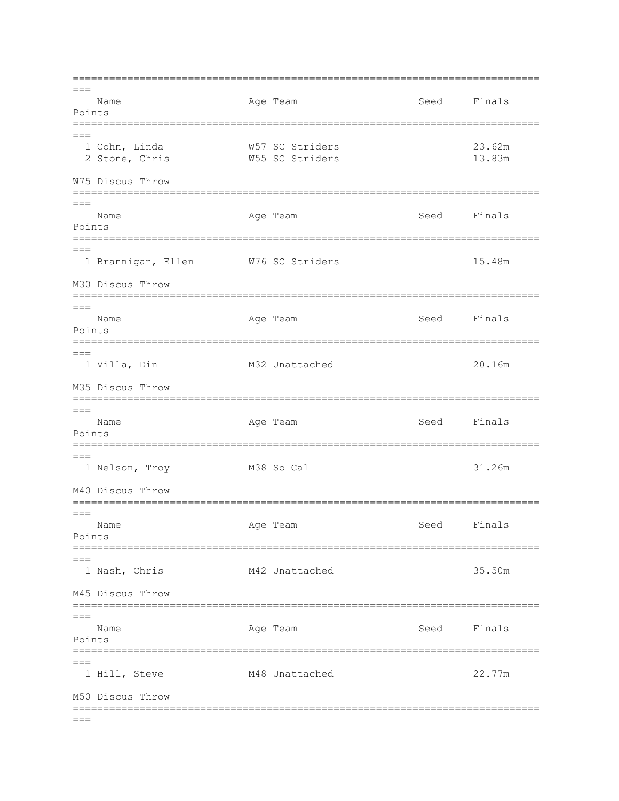$===$ Name Age Team Seed Finals Points  $=$  $=$  $=$ 1 Cohn, Linda W57 SC Striders 23.62m 2 Stone, Chris W55 SC Striders 13.83m W75 Discus Throw  $= == =$ Name Age Team Seed Finals Points  $=$  $=$  $=$ 1 Brannigan, Ellen W76 SC Striders 15.48m M30 Discus Throw Age Team Seed Name Finals Points  $==$ 1 Villa, Din M32 Unattached  $20.16m$ M35 Discus Throw  $= - -$ Age Team Name Seed Finals Points  $= ==$ 1 Nelson, Troy M38 So Cal 31.26m M40 Discus Throw  $= ==$ Age Team Name Seed Finals Points  $=$  $=$  $=$ 1 Nash, Chris M42 Unattached 35.50m M45 Discus Throw  $=$  $=$  $=$ Age Team Seed Name Finals Points  $=$  $=$  $=$ M48 Unattached 1 Hill, Steve 22.77m M50 Discus Throw  $===$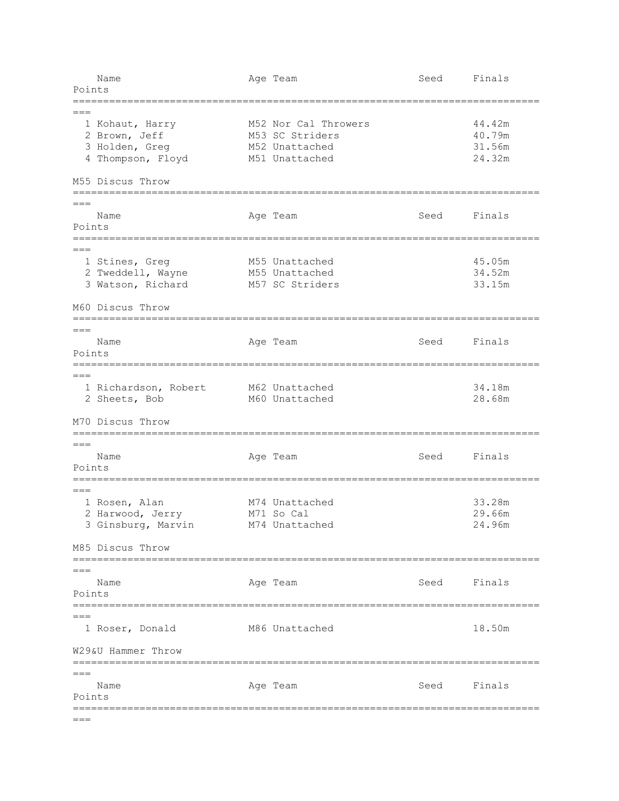| Points             | Name                                                                         |  | Age Team                                                                    | Seed        | Finals                               |  |  |  |
|--------------------|------------------------------------------------------------------------------|--|-----------------------------------------------------------------------------|-------------|--------------------------------------|--|--|--|
| $==$               |                                                                              |  |                                                                             |             |                                      |  |  |  |
|                    | 1 Kohaut, Harry<br>2 Brown, Jeff<br>3 Holden, Greg<br>4 Thompson, Floyd      |  | M52 Nor Cal Throwers<br>M53 SC Striders<br>M52 Unattached<br>M51 Unattached |             | 44.42m<br>40.79m<br>31.56m<br>24.32m |  |  |  |
|                    | M55 Discus Throw                                                             |  |                                                                             |             |                                      |  |  |  |
| $===$<br>Points    | Name                                                                         |  | Age Team                                                                    | Seed        | Finals                               |  |  |  |
|                    | 1 Stines, Greg<br>2 Tweddell, Wayne<br>3 Watson, Richard<br>M60 Discus Throw |  | M55 Unattached<br>M55 Unattached<br>M57 SC Striders                         |             | 45.05m<br>34.52m<br>33.15m           |  |  |  |
|                    |                                                                              |  |                                                                             |             |                                      |  |  |  |
| $===$<br>Points    | Name                                                                         |  | Age Team<br>----------------------------                                    | Seed        | Finals                               |  |  |  |
| $===$              | 1 Richardson, Robert<br>2 Sheets, Bob                                        |  | M62 Unattached<br>M60 Unattached                                            |             | 34.18m<br>28.68m                     |  |  |  |
|                    | M70 Discus Throw                                                             |  |                                                                             |             |                                      |  |  |  |
| $===$<br>Points    | Name                                                                         |  | Age Team                                                                    | Seed        | Finals                               |  |  |  |
|                    | 1 Rosen, Alan<br>2 Harwood, Jerry<br>3 Ginsburg, Marvin                      |  | M74 Unattached<br>M71 So Cal<br>M74 Unattached                              |             | 33.28m<br>29.66m<br>24.96m           |  |  |  |
|                    | M85 Discus Throw                                                             |  |                                                                             |             |                                      |  |  |  |
| $===$<br>Points    | Name                                                                         |  | Age Team<br>======================                                          | Seed Finals |                                      |  |  |  |
| $===$              | 1 Roser, Donald                                                              |  | M86 Unattached                                                              |             | 18.50m                               |  |  |  |
| W29&U Hammer Throw |                                                                              |  |                                                                             |             |                                      |  |  |  |
| $===$<br>Points    | Name                                                                         |  | Age Team                                                                    | Seed        | Finals                               |  |  |  |
| $===$              |                                                                              |  |                                                                             |             |                                      |  |  |  |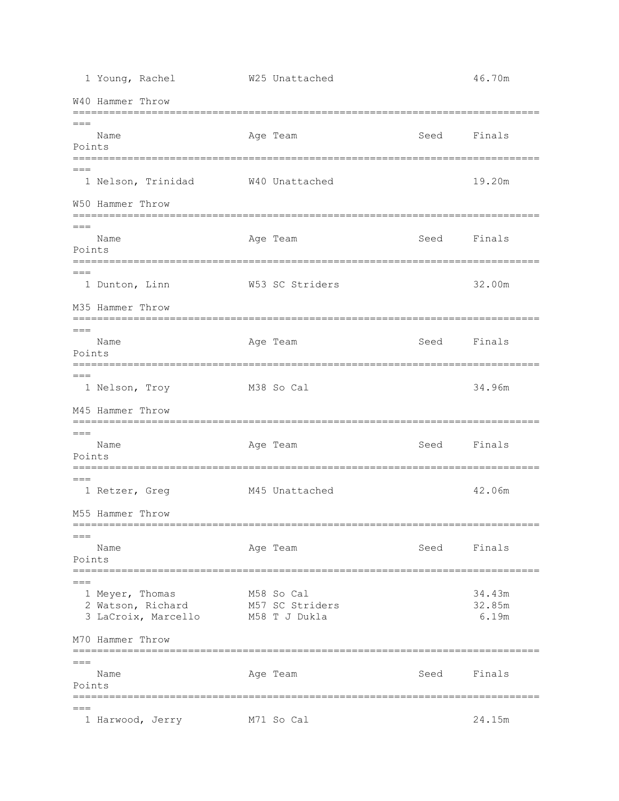1 Young, Rachel W25 Unattached 46.70m W40 Hammer Throw =============================================================================  $===$ Name Age Team Seed Finals Points =============================================================================  $=$  1 Nelson, Trinidad W40 Unattached 19.20m W50 Hammer Throw =============================================================================  $---$ Name **Age Team** Age Team Seed Finals Points ============================================================================= === 1 Dunton, Linn W53 SC Striders 32.00m M35 Hammer Throw =============================================================================  $=$ Name **Age Team** Age Team Seed Finals Points =============================================================================  $=$  1 Nelson, Troy M38 So Cal 34.96m M45 Hammer Throw ============================================================================= === Name **Age Team** Age Team Seed Finals Points =============================================================================  $---$ 1 Retzer, Greg 61 M45 Unattached 61 M42.06m M55 Hammer Throw =============================================================================  $---$ Name **Age Team** Age Team Seed Finals Points ============================================================================= === 1 Meyer, Thomas M58 So Cal 34.43m 2 Watson, Richard M57 SC Striders 32.85m 3 LaCroix, Marcello M58 T J Dukla 6.19m M70 Hammer Throw =============================================================================  $=$ Name **Age Team** Age Team Seed Finals Points =============================================================================  $=$ 1 Harwood, Jerry M71 So Cal 24.15m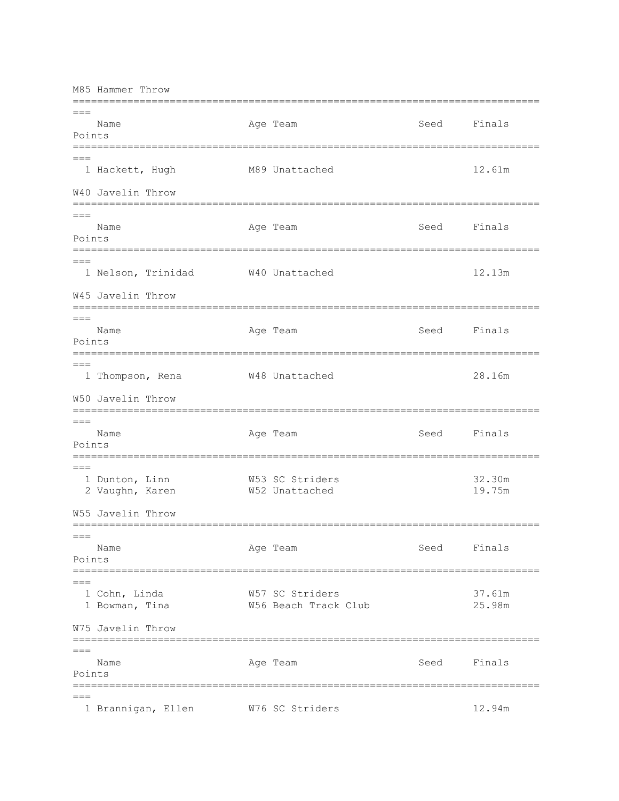M85 Hammer Throw ============================================================================= === Name Age Team Seed Finals Points ============================================================================= === 1 Hackett, Hugh M89 Unattached 12.61m W40 Javelin Throw =============================================================================  $=$ Name **Age Team** Age Team Seed Finals Points ============================================================================= === 1 Nelson, Trinidad W40 Unattached 12.13m W45 Javelin Throw =============================================================================  $=$ Name **Age Team** Age Team Seed Finals Points =============================================================================  $===$  1 Thompson, Rena W48 Unattached 28.16m W50 Javelin Throw =============================================================================  $=$ Name **Age Team** Age Team Seed Finals Points =============================================================================  $=$  1 Dunton, Linn W53 SC Striders 32.30m 2 Vaughn, Karen W52 Unattached 19.75m W55 Javelin Throw =============================================================================  $---$ Name **Age Team** Age Team Seed Finals Points ============================================================================= === 1 Cohn, Linda W57 SC Striders 37.61m 1 Bowman, Tina W56 Beach Track Club 25.98m W75 Javelin Throw =============================================================================  $---$ Name **Age Team** Age Team Seed Finals Points ============================================================================= === 1 Brannigan, Ellen W76 SC Striders 12.94m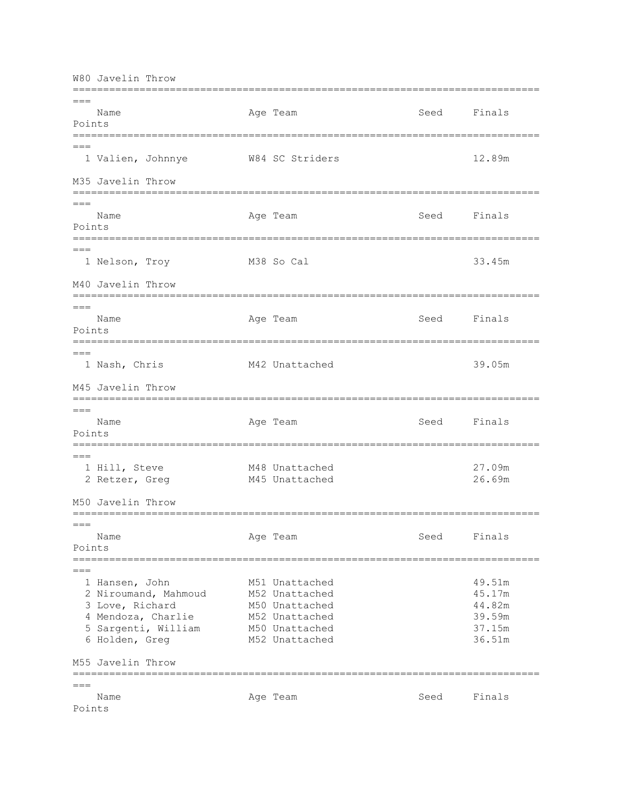W80 Javelin Throw =============================================================================  $---$ Name **Age Team** Age Team Seed Finals Points ============================================================================= === 1 Valien, Johnnye W84 SC Striders 12.89m M35 Javelin Throw =============================================================================  $=$ Name **Age Team** Age Team Seed Finals Points =============================================================================  $=$  1 Nelson, Troy M38 So Cal 33.45m M40 Javelin Throw =============================================================================  $=$ Name **Age Team** Age Team Seed Finals Points =============================================================================  $==$  1 Nash, Chris M42 Unattached 39.05m M45 Javelin Throw =============================================================================  $---$ Name **Age Team** Age Team Seed Finals Points =============================================================================  $=$ 1 Hill, Steve 6 M48 Unattached 27.09m 2 Retzer, Greg 61 M45 Unattached 26.69m M50 Javelin Throw =============================================================================  $=$ Name Age Team Seed Finals Points =============================================================================  $=$ 1 Hansen, John M51 Unattached 49.51m 2 Niroumand, Mahmoud M52 Unattached 45.17m 3 Love, Richard M50 Unattached 44.82m 4 Mendoza, Charlie M52 Unattached 39.59m 5 Sargenti, William M50 Unattached 37.15m 6 Holden, Greg M52 Unattached 36.51m M55 Javelin Throw =============================================================================  $=$ Name **Age Team** Age Team Seed Finals Points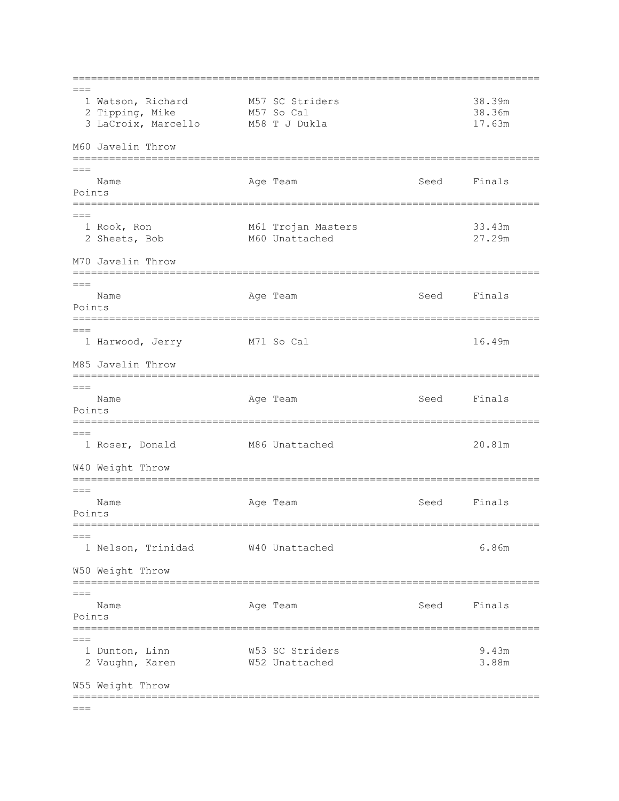=============================================================================  $=$  1 Watson, Richard M57 SC Striders 38.39m 2 Tipping, Mike M57 So Cal 38.36m 3 LaCroix, Marcello M58 T J Dukla 17.63m M60 Javelin Throw =============================================================================  $=$ Name **Age Team** Age Team Seed Finals Points =============================================================================  $=$ 1 Rook, Ron 61 Trojan Masters 33.43m 2 Sheets, Bob M60 Unattached 27.29m M70 Javelin Throw =============================================================================  $===$ Name **Age Team** Age Team Seed Finals Points =============================================================================  $=$ 1 Harwood, Jerry M71 So Cal 16.49m M85 Javelin Throw ============================================================================= === Name Age Team Age Team Seed Finals Points ============================================================================= === 1 Roser, Donald M86 Unattached 20.81m W40 Weight Throw =============================================================================  $---$ Name **Age Team** Age Team Seed Finals Points =============================================================================  $---$  1 Nelson, Trinidad W40 Unattached 6.86m W50 Weight Throw =============================================================================  $=$ Name **Age Team** Age Team Seed Finals Points =============================================================================  $---$  1 Dunton, Linn W53 SC Striders 9.43m 2 Vaughn, Karen W52 Unattached 3.88m W55 Weight Throw =============================================================================